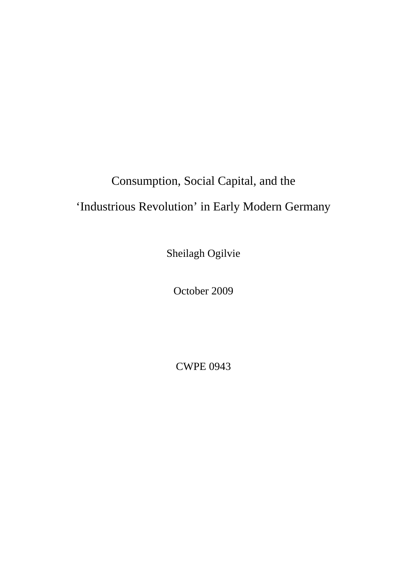# Consumption, Social Capital, and the

## 'Industrious Revolution' in Early Modern Germany

Sheilagh Ogilvie

October 2009

CWPE 0943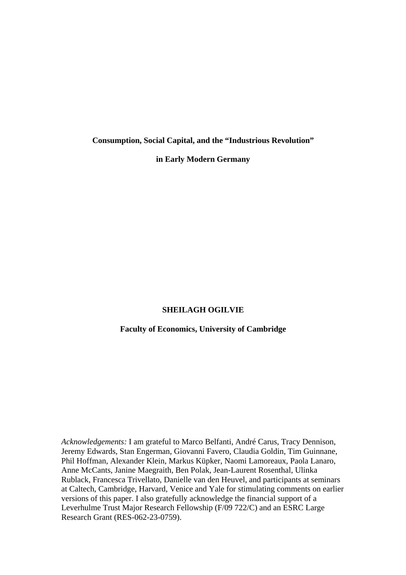**Consumption, Social Capital, and the "Industrious Revolution"** 

**in Early Modern Germany** 

## **SHEILAGH OGILVIE**

### **Faculty of Economics, University of Cambridge**

*Acknowledgements:* I am grateful to Marco Belfanti, André Carus, Tracy Dennison, Jeremy Edwards, Stan Engerman, Giovanni Favero, Claudia Goldin, Tim Guinnane, Phil Hoffman, Alexander Klein, Markus Küpker, Naomi Lamoreaux, Paola Lanaro, Anne McCants, Janine Maegraith, Ben Polak, Jean-Laurent Rosenthal, Ulinka Rublack, Francesca Trivellato, Danielle van den Heuvel, and participants at seminars at Caltech, Cambridge, Harvard, Venice and Yale for stimulating comments on earlier versions of this paper. I also gratefully acknowledge the financial support of a Leverhulme Trust Major Research Fellowship (F/09 722/C) and an ESRC Large Research Grant (RES-062-23-0759).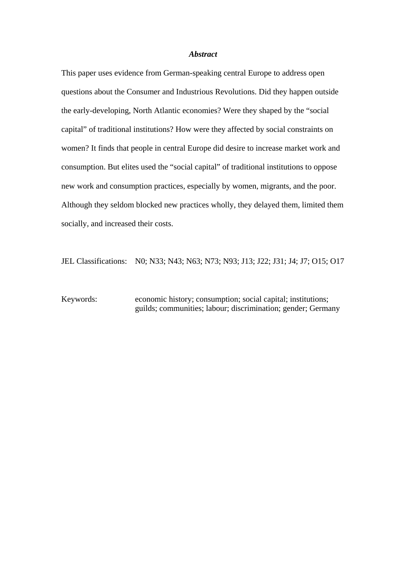#### *Abstract*

This paper uses evidence from German-speaking central Europe to address open questions about the Consumer and Industrious Revolutions. Did they happen outside the early-developing, North Atlantic economies? Were they shaped by the "social capital" of traditional institutions? How were they affected by social constraints on women? It finds that people in central Europe did desire to increase market work and consumption. But elites used the "social capital" of traditional institutions to oppose new work and consumption practices, especially by women, migrants, and the poor. Although they seldom blocked new practices wholly, they delayed them, limited them socially, and increased their costs.

JEL Classifications: N0; N33; N43; N63; N73; N93; J13; J22; J31; J4; J7; O15; O17

Keywords: economic history; consumption; social capital; institutions; guilds; communities; labour; discrimination; gender; Germany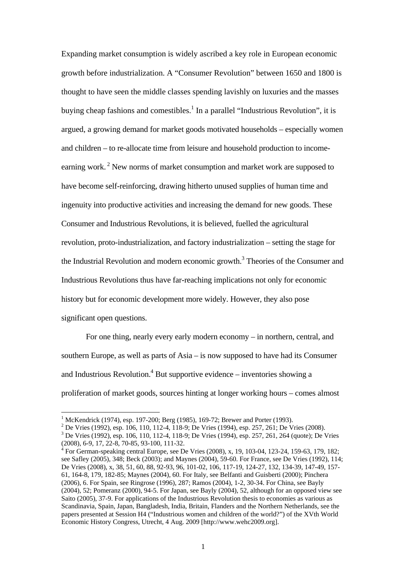Expanding market consumption is widely ascribed a key role in European economic growth before industrialization. A "Consumer Revolution" between 1650 and 1800 is thought to have seen the middle classes spending lavishly on luxuries and the masses buying cheap fashions and comestibles.<sup>1</sup> In a parallel "Industrious Revolution", it is argued, a growing demand for market goods motivated households – especially women and children – to re-allocate time from leisure and household production to incomeearning work.<sup>2</sup> New norms of market consumption and market work are supposed to have become self-reinforcing, drawing hitherto unused supplies of human time and ingenuity into productive activities and increasing the demand for new goods. These Consumer and Industrious Revolutions, it is believed, fuelled the agricultural revolution, proto-industrialization, and factory industrialization – setting the stage for the Industrial Revolution and modern economic growth.<sup>3</sup> Theories of the Consumer and Industrious Revolutions thus have far-reaching implications not only for economic history but for economic development more widely. However, they also pose significant open questions.

 For one thing, nearly every early modern economy – in northern, central, and southern Europe, as well as parts of Asia – is now supposed to have had its Consumer and Industrious Revolution.<sup>4</sup> But supportive evidence – inventories showing a proliferation of market goods, sources hinting at longer working hours – comes almost

<sup>&</sup>lt;sup>1</sup> McKendrick (1974), esp. 197-200; Berg (1985), 169-72; Brewer and Porter (1993).

<sup>&</sup>lt;sup>2</sup> De Vries (1992), esp. 106, 110, 112-4, 118-9; De Vries (1994), esp. 257, 261; De Vries (2008).

<sup>&</sup>lt;sup>3</sup> De Vries (1992), esp. 106, 110, 112-4, 118-9; De Vries (1994), esp. 257, 261, 264 (quote); De Vries (2008), 6-9, 17, 22-8, 70-85, 93-100, 111-32.

<sup>4</sup> For German-speaking central Europe, see De Vries (2008), x, 19, 103-04, 123-24, 159-63, 179, 182; see Safley (2005), 348; Beck (2003); and Maynes (2004), 59-60. For France, see De Vries (1992), 114; De Vries (2008), x, 38, 51, 60, 88, 92-93, 96, 101-02, 106, 117-19, 124-27, 132, 134-39, 147-49, 157- 61, 164-8, 179, 182-85; Maynes (2004), 60. For Italy, see Belfanti and Guisberti (2000); Pinchera (2006), 6. For Spain, see Ringrose (1996), 287; Ramos (2004), 1-2, 30-34. For China, see Bayly (2004), 52; Pomeranz (2000), 94-5. For Japan, see Bayly (2004), 52, although for an opposed view see Saito (2005), 37-9. For applications of the Industrious Revolution thesis to economies as various as Scandinavia, Spain, Japan, Bangladesh, India, Britain, Flanders and the Northern Netherlands, see the papers presented at Session H4 ("Industrious women and children of the world?") of the XVth World Economic History Congress, Utrecht, 4 Aug. 2009 [http://www.wehc2009.org].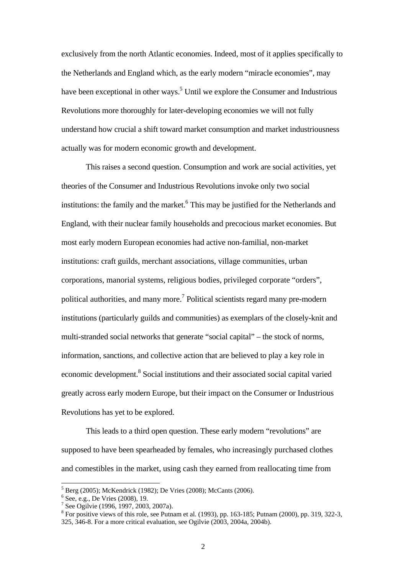exclusively from the north Atlantic economies. Indeed, most of it applies specifically to the Netherlands and England which, as the early modern "miracle economies", may have been exceptional in other ways.<sup>5</sup> Until we explore the Consumer and Industrious Revolutions more thoroughly for later-developing economies we will not fully understand how crucial a shift toward market consumption and market industriousness actually was for modern economic growth and development.

 This raises a second question. Consumption and work are social activities, yet theories of the Consumer and Industrious Revolutions invoke only two social institutions: the family and the market.<sup>6</sup> This may be justified for the Netherlands and England, with their nuclear family households and precocious market economies. But most early modern European economies had active non-familial, non-market institutions: craft guilds, merchant associations, village communities, urban corporations, manorial systems, religious bodies, privileged corporate "orders", political authorities, and many more.<sup>7</sup> Political scientists regard many pre-modern institutions (particularly guilds and communities) as exemplars of the closely-knit and multi-stranded social networks that generate "social capital" – the stock of norms, information, sanctions, and collective action that are believed to play a key role in economic development.<sup>8</sup> Social institutions and their associated social capital varied greatly across early modern Europe, but their impact on the Consumer or Industrious Revolutions has yet to be explored.

 This leads to a third open question. These early modern "revolutions" are supposed to have been spearheaded by females, who increasingly purchased clothes and comestibles in the market, using cash they earned from reallocating time from

<sup>5</sup> Berg (2005); McKendrick (1982); De Vries (2008); McCants (2006).

<sup>6</sup> See, e.g., De Vries (2008), 19.

<sup>7</sup> See Ogilvie (1996, 1997, 2003, 2007a).

 $8$  For positive views of this role, see Putnam et al. (1993), pp. 163-185; Putnam (2000), pp. 319, 322-3,

<sup>325, 346-8.</sup> For a more critical evaluation, see Ogilvie (2003, 2004a, 2004b).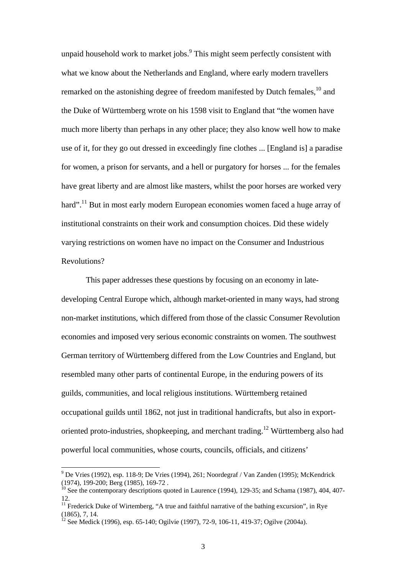unpaid household work to market jobs. $9$  This might seem perfectly consistent with what we know about the Netherlands and England, where early modern travellers remarked on the astonishing degree of freedom manifested by Dutch females,<sup>10</sup> and the Duke of Württemberg wrote on his 1598 visit to England that "the women have much more liberty than perhaps in any other place; they also know well how to make use of it, for they go out dressed in exceedingly fine clothes ... [England is] a paradise for women, a prison for servants, and a hell or purgatory for horses ... for the females have great liberty and are almost like masters, whilst the poor horses are worked very hard".<sup>11</sup> But in most early modern European economies women faced a huge array of institutional constraints on their work and consumption choices. Did these widely varying restrictions on women have no impact on the Consumer and Industrious Revolutions?

 This paper addresses these questions by focusing on an economy in latedeveloping Central Europe which, although market-oriented in many ways, had strong non-market institutions, which differed from those of the classic Consumer Revolution economies and imposed very serious economic constraints on women. The southwest German territory of Württemberg differed from the Low Countries and England, but resembled many other parts of continental Europe, in the enduring powers of its guilds, communities, and local religious institutions. Württemberg retained occupational guilds until 1862, not just in traditional handicrafts, but also in exportoriented proto-industries, shopkeeping, and merchant trading.<sup>12</sup> Württemberg also had powerful local communities, whose courts, councils, officials, and citizens'

 9 De Vries (1992), esp. 118-9; De Vries (1994), 261; Noordegraf / Van Zanden (1995); McKendrick (1974), 199-200; Berg (1985), 169-72 .

 $10$  See the contemporary descriptions quoted in Laurence (1994), 129-35; and Schama (1987), 404, 407-12.

 $11$  Frederick Duke of Wirtemberg, "A true and faithful narrative of the bathing excursion", in Rye (1865), 7, 14.

<sup>&</sup>lt;sup>2</sup> See Medick (1996), esp. 65-140; Ogilvie (1997), 72-9, 106-11, 419-37; Ogilve (2004a).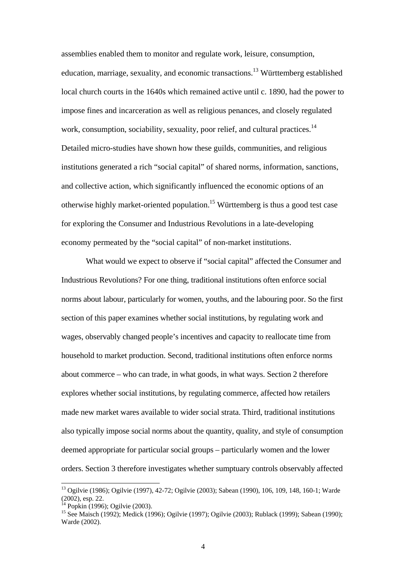assemblies enabled them to monitor and regulate work, leisure, consumption, education, marriage, sexuality, and economic transactions.13 Württemberg established local church courts in the 1640s which remained active until c. 1890, had the power to impose fines and incarceration as well as religious penances, and closely regulated work, consumption, sociability, sexuality, poor relief, and cultural practices.<sup>14</sup> Detailed micro-studies have shown how these guilds, communities, and religious institutions generated a rich "social capital" of shared norms, information, sanctions, and collective action, which significantly influenced the economic options of an otherwise highly market-oriented population.15 Württemberg is thus a good test case for exploring the Consumer and Industrious Revolutions in a late-developing economy permeated by the "social capital" of non-market institutions.

 What would we expect to observe if "social capital" affected the Consumer and Industrious Revolutions? For one thing, traditional institutions often enforce social norms about labour, particularly for women, youths, and the labouring poor. So the first section of this paper examines whether social institutions, by regulating work and wages, observably changed people's incentives and capacity to reallocate time from household to market production. Second, traditional institutions often enforce norms about commerce – who can trade, in what goods, in what ways. Section 2 therefore explores whether social institutions, by regulating commerce, affected how retailers made new market wares available to wider social strata. Third, traditional institutions also typically impose social norms about the quantity, quality, and style of consumption deemed appropriate for particular social groups – particularly women and the lower orders. Section 3 therefore investigates whether sumptuary controls observably affected

<sup>13</sup> Ogilvie (1986); Ogilvie (1997), 42-72; Ogilvie (2003); Sabean (1990), 106, 109, 148, 160-1; Warde (2002), esp. 22.

<sup>&</sup>lt;sup>14</sup> Popkin (1996); Ogilvie (2003).

<sup>&</sup>lt;sup>15</sup> See Maisch (1992); Medick (1996); Ogilvie (1997); Ogilvie (2003); Rublack (1999); Sabean (1990); Warde (2002).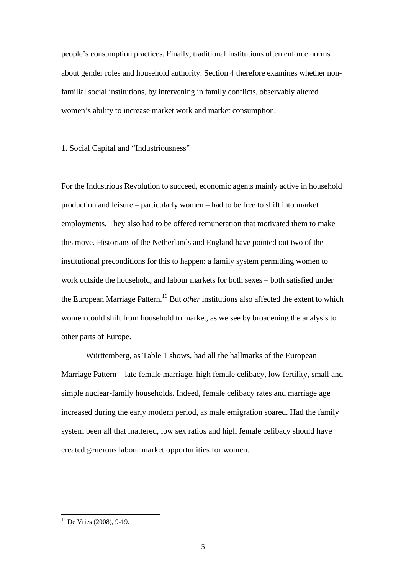people's consumption practices. Finally, traditional institutions often enforce norms about gender roles and household authority. Section 4 therefore examines whether nonfamilial social institutions, by intervening in family conflicts, observably altered women's ability to increase market work and market consumption.

### 1. Social Capital and "Industriousness"

For the Industrious Revolution to succeed, economic agents mainly active in household production and leisure – particularly women – had to be free to shift into market employments. They also had to be offered remuneration that motivated them to make this move. Historians of the Netherlands and England have pointed out two of the institutional preconditions for this to happen: a family system permitting women to work outside the household, and labour markets for both sexes – both satisfied under the European Marriage Pattern.<sup>16</sup> But *other* institutions also affected the extent to which women could shift from household to market, as we see by broadening the analysis to other parts of Europe.

 Württemberg, as Table 1 shows, had all the hallmarks of the European Marriage Pattern – late female marriage, high female celibacy, low fertility, small and simple nuclear-family households. Indeed, female celibacy rates and marriage age increased during the early modern period, as male emigration soared. Had the family system been all that mattered, low sex ratios and high female celibacy should have created generous labour market opportunities for women.

<sup>&</sup>lt;sup>16</sup> De Vries (2008), 9-19.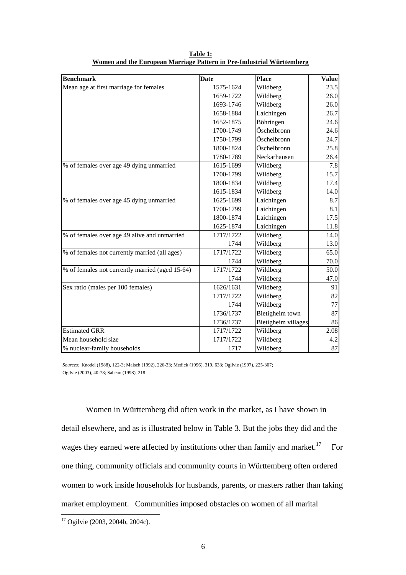| <b>Benchmark</b>                                | <b>Date</b> | Place               | <b>Value</b> |
|-------------------------------------------------|-------------|---------------------|--------------|
| Mean age at first marriage for females          | 1575-1624   | Wildberg            | 23.5         |
|                                                 | 1659-1722   | Wildberg            | 26.0         |
|                                                 | 1693-1746   | Wildberg            | 26.0         |
|                                                 | 1658-1884   | Laichingen          | 26.7         |
|                                                 | 1652-1875   | Böhringen           | 24.6         |
|                                                 | 1700-1749   | Öschelbronn         | 24.6         |
|                                                 | 1750-1799   | Öschelbronn         | 24.7         |
|                                                 | 1800-1824   | Öschelbronn         | 25.8         |
|                                                 | 1780-1789   | Neckarhausen        | 26.4         |
| % of females over age 49 dying unmarried        | 1615-1699   | Wildberg            | 7.8          |
|                                                 | 1700-1799   | Wildberg            | 15.7         |
|                                                 | 1800-1834   | Wildberg            | 17.4         |
|                                                 | 1615-1834   | Wildberg            | 14.0         |
| % of females over age 45 dying unmarried        | 1625-1699   | Laichingen          | 8.7          |
|                                                 | 1700-1799   | Laichingen          | 8.1          |
|                                                 | 1800-1874   | Laichingen          | 17.5         |
|                                                 | 1625-1874   | Laichingen          | 11.8         |
| % of females over age 49 alive and unmarried    | 1717/1722   | Wildberg            | 14.0         |
|                                                 | 1744        | Wildberg            | 13.0         |
| % of females not currently married (all ages)   | 1717/1722   | Wildberg            | 65.0         |
|                                                 | 1744        | Wildberg            | 70.0         |
| % of females not currently married (aged 15-64) | 1717/1722   | Wildberg            | 50.0         |
|                                                 | 1744        | Wildberg            | 47.0         |
| Sex ratio (males per 100 females)               | 1626/1631   | Wildberg            | 91           |
|                                                 | 1717/1722   | Wildberg            | 82           |
|                                                 | 1744        | Wildberg            | 77           |
|                                                 | 1736/1737   | Bietigheim town     | 87           |
|                                                 | 1736/1737   | Bietigheim villages | 86           |
| <b>Estimated GRR</b>                            | 1717/1722   | Wildberg            | 2.08         |
| Mean household size                             | 1717/1722   | Wildberg            | 4.2          |
| % nuclear-family households                     | 1717        | Wildberg            | 87           |

**Table 1: Women and the European Marriage Pattern in Pre-Industrial Württemberg**

*Sources:* Knodel (1988), 122-3; Maisch (1992), 226-33; Medick (1996), 319, 633; Ogilvie (1997), 225-307; Ogilvie (2003), 40-78; Sabean (1998), 218.

 Women in Württemberg did often work in the market, as I have shown in detail elsewhere, and as is illustrated below in Table 3. But the jobs they did and the wages they earned were affected by institutions other than family and market.<sup>17</sup> For one thing, community officials and community courts in Württemberg often ordered women to work inside households for husbands, parents, or masters rather than taking market employment. Communities imposed obstacles on women of all marital

<sup>&</sup>lt;sup>17</sup> Ogilvie (2003, 2004b, 2004c).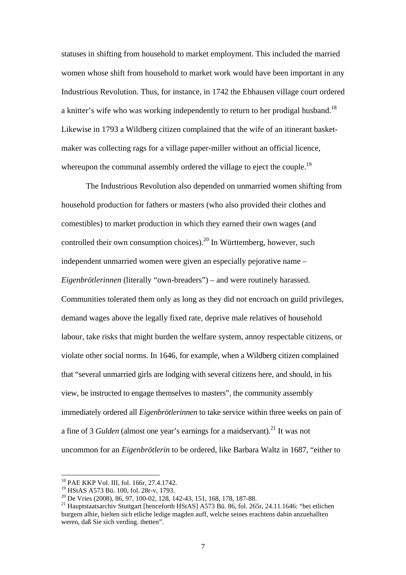statuses in shifting from household to market employment. This included the married women whose shift from household to market work would have been important in any Industrious Revolution. Thus, for instance, in 1742 the Ebhausen village court ordered a knitter's wife who was working independently to return to her prodigal husband.<sup>18</sup> Likewise in 1793 a Wildberg citizen complained that the wife of an itinerant basketmaker was collecting rags for a village paper-miller without an official licence, whereupon the communal assembly ordered the village to eject the couple.<sup>19</sup>

 The Industrious Revolution also depended on unmarried women shifting from household production for fathers or masters (who also provided their clothes and comestibles) to market production in which they earned their own wages (and controlled their own consumption choices).<sup>20</sup> In Württemberg, however, such independent unmarried women were given an especially pejorative name – *Eigenbrötlerinnen* (literally "own-breaders") – and were routinely harassed. Communities tolerated them only as long as they did not encroach on guild privileges, demand wages above the legally fixed rate, deprive male relatives of household labour, take risks that might burden the welfare system, annoy respectable citizens, or violate other social norms. In 1646, for example, when a Wildberg citizen complained that "several unmarried girls are lodging with several citizens here, and should, in his view, be instructed to engage themselves to masters", the community assembly immediately ordered all *Eigenbrötlerinnen* to take service within three weeks on pain of a fine of 3 *Gulden* (almost one year's earnings for a maidservant).<sup>21</sup> It was not uncommon for an *Eigenbrötlerin* to be ordered, like Barbara Waltz in 1687, "either to

<sup>18</sup> PAE KKP Vol. III, fol. 166r, 27.4.1742.

<sup>19</sup> HStAS A573 Bü. 100, fol. 28r-v, 1793.

<sup>&</sup>lt;sup>20</sup> De Vries (2008), 86, 97, 100-02, 128, 142-43, 151, 168, 178, 187-88.

<sup>21</sup> Hauptstaatsarchiv Stuttgart [henceforth HStAS] A573 Bü. 86, fol. 265r, 24.11.1646: "bei etlichen burgern alhie, hielten sich etliche ledige magden auff, welche seines erachtens dahin anzuehallten weren, daß Sie sich verding. thetten".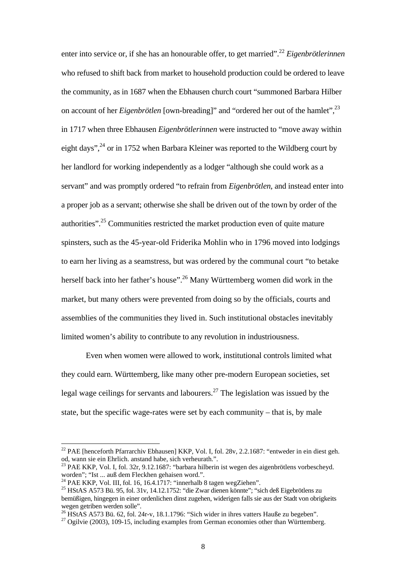enter into service or, if she has an honourable offer, to get married".22 *Eigenbrötlerinnen* who refused to shift back from market to household production could be ordered to leave the community, as in 1687 when the Ebhausen church court "summoned Barbara Hilber on account of her *Eigenbrötlen* [own-breading]" and "ordered her out of the hamlet",23 in 1717 when three Ebhausen *Eigenbrötlerinnen* were instructed to "move away within eight days",<sup>24</sup> or in 1752 when Barbara Kleiner was reported to the Wildberg court by her landlord for working independently as a lodger "although she could work as a servant" and was promptly ordered "to refrain from *Eigenbrötlen*, and instead enter into a proper job as a servant; otherwise she shall be driven out of the town by order of the authorities".25 Communities restricted the market production even of quite mature spinsters, such as the 45-year-old Friderika Mohlin who in 1796 moved into lodgings to earn her living as a seamstress, but was ordered by the communal court "to betake herself back into her father's house".26 Many Württemberg women did work in the market, but many others were prevented from doing so by the officials, courts and assemblies of the communities they lived in. Such institutional obstacles inevitably limited women's ability to contribute to any revolution in industriousness.

 Even when women were allowed to work, institutional controls limited what they could earn. Württemberg, like many other pre-modern European societies, set legal wage ceilings for servants and labourers.<sup>27</sup> The legislation was issued by the state, but the specific wage-rates were set by each community – that is, by male

<sup>&</sup>lt;sup>22</sup> PAE [henceforth Pfarrarchiv Ebhausen] KKP, Vol. I, fol. 28v, 2.2.1687: "entweder in ein diest geh. od, wann sie ein Ehrlich. anstand habe, sich verheurath.".

 $^{23}$  PAE KKP, Vol. I, fol. 32r, 9.12.1687: "barbara hilberin ist wegen des aigenbrötlens vorbescheyd. worden"; "Ist ... auß dem Fleckhen gehaisen word.".

 $^{24}$  PAE KKP, Vol. III, fol. 16, 16.4.1717: "innerhalb 8 tagen wegZiehen".

<sup>25</sup> HStAS A573 Bü. 95, fol. 31v, 14.12.1752: "die Zwar dienen könnte"; "sich deß Eigebrötlens zu bemüßigen, hingegen in einer ordenlichen dinst zugehen, widerigen falls sie aus der Stadt von obrigkeits wegen getriben werden solle".

<sup>&</sup>lt;sup>26</sup> HStAS A573 Bü. 62, fol. 24r-v, 18.1.1796: "Sich wider in ihres vatters Hauße zu begeben".

 $27$  Ogilvie (2003), 109-15, including examples from German economies other than Württemberg.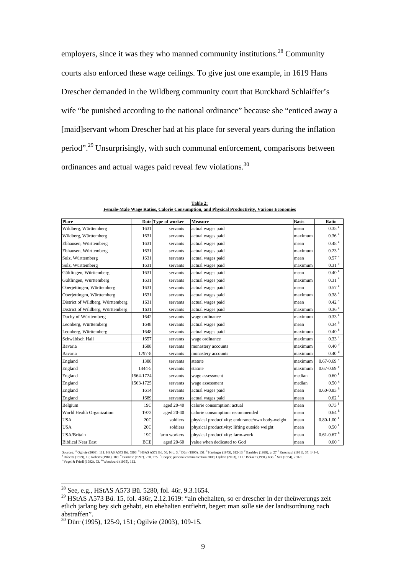employers, since it was they who manned community institutions.<sup>28</sup> Community courts also enforced these wage ceilings. To give just one example, in 1619 Hans Drescher demanded in the Wildberg community court that Burckhard Schlaiffer's wife "be punished according to the national ordinance" because she "enticed away a [maid]servant whom Drescher had at his place for several years during the inflation period".29 Unsurprisingly, with such communal enforcement, comparisons between ordinances and actual wages paid reveal few violations.<sup>30</sup>

| <b>Place</b>                      |            | Date Type of worker | <b>Measure</b>                                   | <b>Basis</b> | Ratio                         |
|-----------------------------------|------------|---------------------|--------------------------------------------------|--------------|-------------------------------|
| Wildberg, Württemberg             | 1631       | servants            | actual wages paid                                | mean         | $0.35$ $^{\rm a}$             |
| Wildberg, Württemberg             | 1631       | servants            | actual wages paid                                | maximum      | 0.36 <sup>a</sup>             |
| Ebhausen, Württemberg             | 1631       | servants            | actual wages paid                                | mean         | 0.48 <sup>a</sup>             |
| Ebhausen, Württemberg             | 1631       | servants            | actual wages paid                                | maximum      | $0.23$ <sup>a</sup>           |
| Sulz, Württemberg                 | 1631       | servants            | actual wages paid                                | mean         | $0.57$ <sup>a</sup>           |
| Sulz, Württemberg                 | 1631       | servants            | actual wages paid                                | maximum      | $0.31$ <sup>a</sup>           |
| Gültlingen, Württemberg           | 1631       | servants            | actual wages paid                                | mean         | $0.40$ $^{\rm a}$             |
| Gültlingen, Württemberg           | 1631       | servants            | actual wages paid                                | maximum      | $0.31$ $^{\rm a}$             |
| Oberjettingen, Württemberg        | 1631       | servants            | actual wages paid                                | mean         | $0.57$ <sup>a</sup>           |
| Oberjettingen, Württemberg        | 1631       | servants            | actual wages paid                                | maximum      | 0.38 <sup>a</sup>             |
| District of Wildberg, Württemberg | 1631       | servants            | actual wages paid                                | mean         | $0.42$ <sup>a</sup>           |
| District of Wildberg, Württemberg | 1631       | servants            | actual wages paid                                | maximum      | 0.36 <sup>a</sup>             |
| Duchy of Württemberg              | 1642       | servants            | wage ordinance                                   | maximum      | 0.33 <sup>a</sup>             |
| Leonberg, Württemberg             | 1648       | servants            | actual wages paid                                | mean         | $0.34$ $^{\mathrm{b}}$        |
| Leonberg, Württemberg             | 1648       | servants            | actual wages paid                                | maximum      | 0.40 <sup>b</sup>             |
| Schwäbisch Hall                   | 1657       | servants            | wage ordinance                                   | maximum      | $0.33$ $\degree$              |
| Bavaria                           | 1688       | servants            | monastery accounts                               | maximum      | 0.40 <sup>d</sup>             |
| Bavaria                           | 1797-8     | servants            | monastery accounts                               | maximum      | $0.40\ ^{\rm d}$              |
| England                           | 1388       | servants            | statute                                          | maximum      | $0.67$ -0.69 $^{\rm e}$       |
| England                           | 1444-5     | servants            | statute                                          | maximum      | $0.67 - 0.69$ <sup>e</sup>    |
| England                           | 1564-1724  | servants            | wage assessment                                  | median       | $0.60$ <sup>f</sup>           |
| England                           | 1563-1725  | servants            | wage assessment                                  | median       | 0.50 <sup>g</sup>             |
| England                           | 1614       | servants            | actual wages paid                                | mean         | $0.60\text{-}0.83$ $^{\rm h}$ |
| England                           | 1689       | servants            | actual wages paid                                | mean         | $0.62^{\mathrm{i}}$           |
| Belgium                           | 19C        | aged 20-40          | calorie consumption: actual                      | mean         | $0.73^{\text{ j}}$            |
| World Health Organization         | 1973       | aged 20-40          | calorie consumption: recommended                 | mean         | $0.64$ $^{\mathrm{k}}$        |
| <b>USA</b>                        | 20C        | soldiers            | physical productivity: endurance/own body-weight | mean         | $0.80 - 1.00$ <sup>1</sup>    |
| <b>USA</b>                        | 20C        | soldiers            | physical productivity: lifting outside weight    | mean         | 0.50 <sup>1</sup>             |
| USA/Britain                       | 19C        | farm workers        | physical productivity: farm-work                 | mean         | $0.61 - 0.67$ <sup>h</sup>    |
| <b>Biblical Near East</b>         | <b>BCE</b> | aged 20-60          | value when dedicated to God                      | mean         | $0.60$ $^{\rm m}$             |

**Table 2: Female-Male Wage Ratios, Calorie Consumption, and Physical Productivity, Various Economies**

Sources: \* Ogilvie (2003), 111; HSAS A573 Bü. 5593. <sup>b</sup> HSAS A572 Bü. 56, Nro. 3. " Dürr (1995), 151. <sup>4</sup> Hartinger (1975), 612-13. \* Bardsley (1999), p. 27. <sup>f</sup>Kussmaul (1981), 37, 143-4.<br><sup>5</sup> Roberts (1979, 19; Roberts (1

 $^{28}$  See, e.g., HStAS A573 Bü. 5280, fol. 46r, 9.3.1654.

<sup>&</sup>lt;sup>29</sup> HStAS A573 Bü. 15, fol. 436r, 2.12.1619: "ain ehehalten, so er drescher in der theüwerungs zeit etlich jarlang bey sich gehabt, ein ehehalten entfiehrt, begert man solle sie der landtsordnung nach abstraffen".

<sup>30</sup> Dürr (1995), 125-9, 151; Ogilvie (2003), 109-15.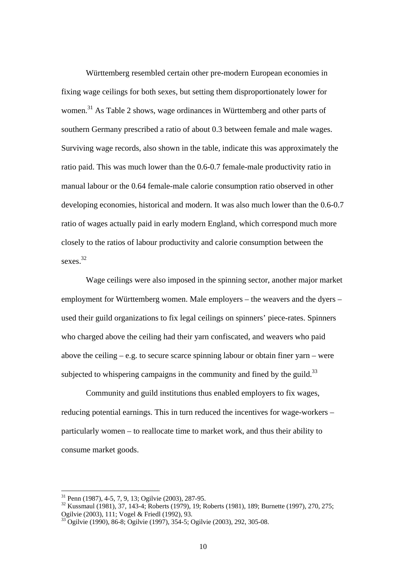Württemberg resembled certain other pre-modern European economies in fixing wage ceilings for both sexes, but setting them disproportionately lower for women.<sup>31</sup> As Table 2 shows, wage ordinances in Württemberg and other parts of southern Germany prescribed a ratio of about 0.3 between female and male wages. Surviving wage records, also shown in the table, indicate this was approximately the ratio paid. This was much lower than the 0.6-0.7 female-male productivity ratio in manual labour or the 0.64 female-male calorie consumption ratio observed in other developing economies, historical and modern. It was also much lower than the 0.6-0.7 ratio of wages actually paid in early modern England, which correspond much more closely to the ratios of labour productivity and calorie consumption between the sexes.<sup>32</sup>

 Wage ceilings were also imposed in the spinning sector, another major market employment for Württemberg women. Male employers – the weavers and the dyers – used their guild organizations to fix legal ceilings on spinners' piece-rates. Spinners who charged above the ceiling had their yarn confiscated, and weavers who paid above the ceiling – e.g. to secure scarce spinning labour or obtain finer yarn – were subjected to whispering campaigns in the community and fined by the guild.<sup>33</sup>

 Community and guild institutions thus enabled employers to fix wages, reducing potential earnings. This in turn reduced the incentives for wage-workers – particularly women – to reallocate time to market work, and thus their ability to consume market goods.

<sup>31</sup> Penn (1987), 4-5, 7, 9, 13; Ogilvie (2003), 287-95.

<sup>32</sup> Kussmaul (1981), 37, 143-4; Roberts (1979), 19; Roberts (1981), 189; Burnette (1997), 270, 275; Ogilvie (2003), 111; Vogel & Friedl (1992), 93.

<sup>33</sup> Ogilvie (1990), 86-8; Ogilvie (1997), 354-5; Ogilvie (2003), 292, 305-08.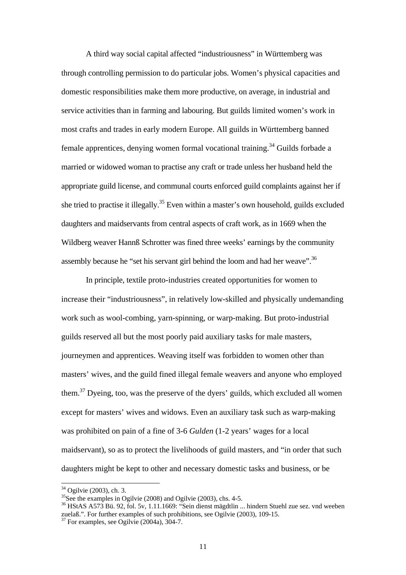A third way social capital affected "industriousness" in Württemberg was through controlling permission to do particular jobs. Women's physical capacities and domestic responsibilities make them more productive, on average, in industrial and service activities than in farming and labouring. But guilds limited women's work in most crafts and trades in early modern Europe. All guilds in Württemberg banned female apprentices, denying women formal vocational training.<sup>34</sup> Guilds forbade a married or widowed woman to practise any craft or trade unless her husband held the appropriate guild license, and communal courts enforced guild complaints against her if she tried to practise it illegally.<sup>35</sup> Even within a master's own household, guilds excluded daughters and maidservants from central aspects of craft work, as in 1669 when the Wildberg weaver Hannß Schrotter was fined three weeks' earnings by the community assembly because he "set his servant girl behind the loom and had her weave".36

 In principle, textile proto-industries created opportunities for women to increase their "industriousness", in relatively low-skilled and physically undemanding work such as wool-combing, yarn-spinning, or warp-making. But proto-industrial guilds reserved all but the most poorly paid auxiliary tasks for male masters, journeymen and apprentices. Weaving itself was forbidden to women other than masters' wives, and the guild fined illegal female weavers and anyone who employed them.37 Dyeing, too, was the preserve of the dyers' guilds, which excluded all women except for masters' wives and widows. Even an auxiliary task such as warp-making was prohibited on pain of a fine of 3-6 *Gulden* (1-2 years' wages for a local maidservant), so as to protect the livelihoods of guild masters, and "in order that such daughters might be kept to other and necessary domestic tasks and business, or be

<sup>34</sup> Ogilvie (2003), ch. 3.

 $35$ See the examples in Ogilvie (2008) and Ogilvie (2003), chs. 4-5.

<sup>&</sup>lt;sup>36</sup> HStAS A573 Bü. 92, fol. 5v, 1.11.1669: "Sein dienst mägdtlin ... hindern Stuehl zue sez. vnd weeben zuelaß.". For further examples of such prohibitions, see Ogilvie (2003), 109-15. <sup>37</sup> For examples, see Ogilvie (2004a), 304-7.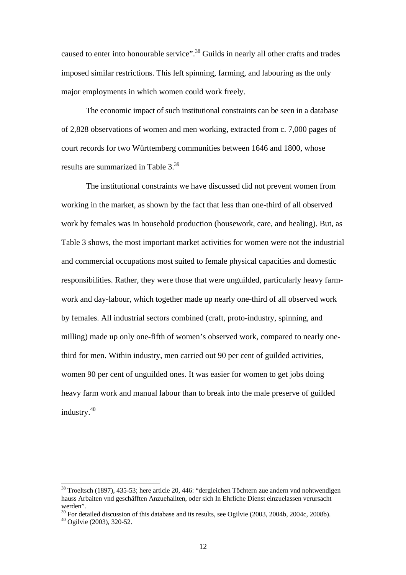caused to enter into honourable service".38 Guilds in nearly all other crafts and trades imposed similar restrictions. This left spinning, farming, and labouring as the only major employments in which women could work freely.

 The economic impact of such institutional constraints can be seen in a database of 2,828 observations of women and men working, extracted from c. 7,000 pages of court records for two Württemberg communities between 1646 and 1800, whose results are summarized in Table 3.39

 The institutional constraints we have discussed did not prevent women from working in the market, as shown by the fact that less than one-third of all observed work by females was in household production (housework, care, and healing). But, as Table 3 shows, the most important market activities for women were not the industrial and commercial occupations most suited to female physical capacities and domestic responsibilities. Rather, they were those that were unguilded, particularly heavy farmwork and day-labour, which together made up nearly one-third of all observed work by females. All industrial sectors combined (craft, proto-industry, spinning, and milling) made up only one-fifth of women's observed work, compared to nearly onethird for men. Within industry, men carried out 90 per cent of guilded activities, women 90 per cent of unguilded ones. It was easier for women to get jobs doing heavy farm work and manual labour than to break into the male preserve of guilded industry.40

<sup>38</sup> Troeltsch (1897), 435-53; here article 20, 446: "dergleichen Töchtern zue andern vnd nohtwendigen hauss Arbaiten vnd geschäfften Anzuehallten, oder sich In Ehrliche Dienst einzuelassen verursacht werden".

<sup>&</sup>lt;sup>39</sup> For detailed discussion of this database and its results, see Ogilvie (2003, 2004b, 2004c, 2008b).

<sup>40</sup> Ogilvie (2003), 320-52.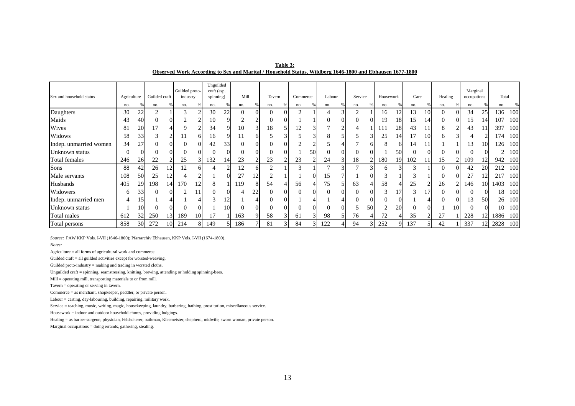| Table 3:                                                                                                 |
|----------------------------------------------------------------------------------------------------------|
| Observed Work According to Sex and Marital / Household Status, Wildberg 1646-1800 and Ebhausen 1677-1800 |

| Sex and household status | Agriculture |                 | Guilded craft |                 | Guilded proto-<br>industry |    | Unguilded<br>craft (esp.<br>spinning) |                | Mill     |    | Tavern   |    | Commerce                        |                | Labour | Service |          | Housework    |           | Care |                 | Healing  |    | Marginal<br>occupations |                 | Total |     |
|--------------------------|-------------|-----------------|---------------|-----------------|----------------------------|----|---------------------------------------|----------------|----------|----|----------|----|---------------------------------|----------------|--------|---------|----------|--------------|-----------|------|-----------------|----------|----|-------------------------|-----------------|-------|-----|
|                          | no.         |                 | no.           |                 | no.                        |    | no.                                   |                | no.      |    | no.      |    | no.                             |                | no.    | no.     |          | no.          |           | no.  |                 | no.      |    | no.                     |                 | no.   |     |
| Daughters                | 30          | 22              | ◠             |                 | 3                          |    | 30                                    | 22             | $\theta$ |    | $\Omega$ | 01 | ◠                               |                |        |         |          | 16           | 12        | 13   | 10              | $\Omega$ |    | 34                      | 25              | 136   | 100 |
| Maids                    | 43          |                 |               |                 |                            |    | 10                                    |                |          |    |          |    |                                 |                |        |         |          | 19           | 18        | 15   | 14              |          |    | 15                      |                 | 107   | 100 |
| Wives                    | 81          | 20              |               |                 |                            |    | 34                                    |                | 10       |    | 18       |    | 12                              |                |        |         |          | 111          | 28        | 43   |                 | 8        |    | 43                      |                 | 397   | 100 |
| Widows                   | 58          | 33              |               |                 |                            |    | 16                                    |                | 11       |    |          |    |                                 |                |        |         |          | 25           | 14        |      | 10              | h        |    |                         |                 | l 74  | 100 |
| Indep. unmarried women   | 34          | 27              |               |                 | 0                          |    | 42                                    | 33             | 0        |    |          |    |                                 |                |        |         |          | 8            |           | 14   |                 |          |    | 13                      | 10              | 126   | 100 |
| Unknown status           | 0           |                 |               |                 | $\theta$                   |    |                                       |                | $\left($ |    |          | OI |                                 | 50             |        |         |          |              | 50        |      |                 |          |    |                         |                 |       | 100 |
| Total females            | 246         | 26              | 22            |                 | 25                         |    | 132                                   | 14             | 23       |    | 23       |    | 23                              |                | 24     | 18      |          | 180          | 19        | 102  |                 | 15       |    | 109                     | 12              | 942   | 100 |
| Sons                     | 88          | 42              | 26            | 12              | 12                         |    |                                       |                | 12       |    | ◠        |    | $\rightarrow$<br>$\mathfrak{I}$ |                |        |         |          | <sub>0</sub> |           |      |                 | $\Omega$ |    | 42                      | 20              | 212   | 100 |
| Male servants            | 108         | 50              | 25            | 12              | 4                          |    |                                       |                | 27       |    |          |    |                                 |                | 15     |         |          | 3            |           |      |                 | $\Omega$ |    | 27                      | 12              | 217   | 100 |
| Husbands                 | 405         | 29              | 198           | 14              | l 70                       |    | 8                                     |                | 119      |    | 54       |    | 56                              |                | 75     | 63      |          | 58           |           | 25   |                 | 26       |    | 146                     | 10 <sup> </sup> | 1403  | 100 |
| Widowers                 | 6           | 33 <sub>1</sub> | $\Omega$      | ΩI              | ↑                          |    |                                       |                |          | 22 | $\theta$ | 01 | $\theta$                        |                |        |         | $\theta$ | 3            | 17        |      | 17 <sup>°</sup> | $\Omega$ |    |                         |                 | 18.   | 100 |
| Indep. unmarried men     |             | 15              |               |                 |                            |    |                                       | $\overline{2}$ |          |    |          |    |                                 |                |        |         |          | $_{0}$       |           |      |                 |          |    | 13                      | 50              | 26    | 100 |
| Unknown status           |             |                 |               |                 |                            |    |                                       | 10.            | $\left($ |    |          |    |                                 |                |        |         | 50       | ◠            | <b>20</b> |      | ΩI              |          | 10 |                         |                 | 10    | 100 |
| Total males              | 612         | 32              | 250           | 13 <sup> </sup> | 189                        | 10 |                                       |                | 163      |    | 58       | 3  | 61                              | 3 <sub>1</sub> | 98     | 76      |          | 72           |           | 35   |                 | 27       |    | 228                     | 12              | 1886  | 100 |
| Total persons            | 858         | 30 <sup>l</sup> | 272           | 101             | 214                        |    | 149                                   |                | 186      |    | 81       | 31 | 84                              |                | 122    | 94      |          | 252          |           | 137  |                 | 42       |    | 337                     | 121             | 2828  | 100 |

*Source:* PAW KKP Vols. I-VII (1646-1800); Pfarrarchiv Ebhausen, KKP Vols. I-VII (1674-1800).

*Notes:*

Agriculture = all forms of agricultural work and commerce.

Guilded craft = all guilded activities except for worsted-weaving.

Guilded proto-industry = making and trading in worsted cloths.

Unguilded craft = spinning, seamstressing, knitting, brewing, attending or holding spinning-bees.

Mill = operating mill, transporting materials to or from mill.

Tavern = operating or serving in tavern.

Commerce = as merchant, shopkeeper, peddler, or private person.

Labour = carting, day-labouring, building, repairing, military work.

Service = teaching, music, writing, magic, housekeeping, laundry, barbering, bathing, prostitution, miscellaneous service.

Housework = indoor and outdoor household chores, providing lodgings.

Healing = as barber-surgeon, physician, Feldscherer, bathman, Kleemeister, shepherd, midwife, sworn woman, private person.

Marginal occupations = doing errands, gathering, stealing.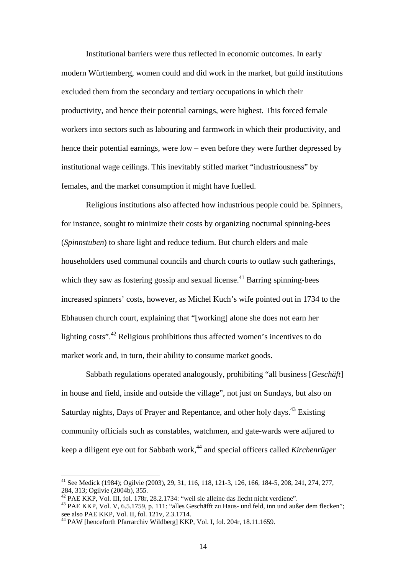Institutional barriers were thus reflected in economic outcomes. In early modern Württemberg, women could and did work in the market, but guild institutions excluded them from the secondary and tertiary occupations in which their productivity, and hence their potential earnings, were highest. This forced female workers into sectors such as labouring and farmwork in which their productivity, and hence their potential earnings, were low – even before they were further depressed by institutional wage ceilings. This inevitably stifled market "industriousness" by females, and the market consumption it might have fuelled.

 Religious institutions also affected how industrious people could be. Spinners, for instance, sought to minimize their costs by organizing nocturnal spinning-bees (*Spinnstuben*) to share light and reduce tedium. But church elders and male householders used communal councils and church courts to outlaw such gatherings, which they saw as fostering gossip and sexual license.<sup>41</sup> Barring spinning-bees increased spinners' costs, however, as Michel Kuch's wife pointed out in 1734 to the Ebhausen church court, explaining that "[working] alone she does not earn her lighting costs".<sup>42</sup> Religious prohibitions thus affected women's incentives to do market work and, in turn, their ability to consume market goods.

 Sabbath regulations operated analogously, prohibiting "all business [*Geschäft*] in house and field, inside and outside the village", not just on Sundays, but also on Saturday nights, Days of Prayer and Repentance, and other holy days.<sup>43</sup> Existing community officials such as constables, watchmen, and gate-wards were adjured to keep a diligent eye out for Sabbath work,44 and special officers called *Kirchenrüger*

<sup>&</sup>lt;sup>41</sup> See Medick (1984); Ogilvie (2003), 29, 31, 116, 118, 121-3, 126, 166, 184-5, 208, 241, 274, 277, 284, 313; Ogilvie (2004b), 355.<br><sup>42</sup> PAE KKP, Vol. III, fol. 178r, 28.2.1734: "weil sie alleine das liecht nicht verdiene".

<sup>&</sup>lt;sup>43</sup> PAE KKP, Vol. V, 6.5.1759, p. 111: "alles Geschäfft zu Haus- und feld, inn und außer dem flecken"; see also PAE KKP, Vol. II, fol. 121v, 2.3.1714.

<sup>44</sup> PAW [henceforth Pfarrarchiv Wildberg] KKP, Vol. I, fol. 204r, 18.11.1659.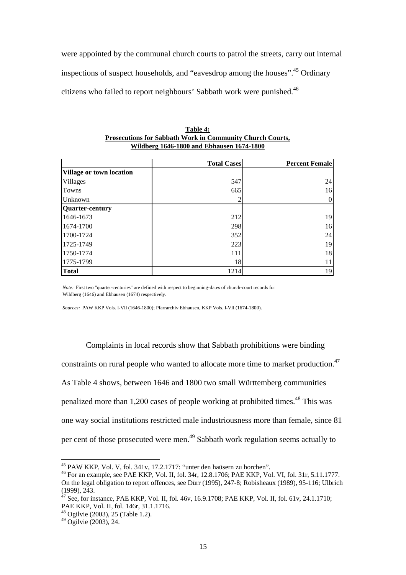were appointed by the communal church courts to patrol the streets, carry out internal inspections of suspect households, and "eavesdrop among the houses".45 Ordinary citizens who failed to report neighbours' Sabbath work were punished.<sup>46</sup>

|                          | <b>Total Cases</b> | <b>Percent Female</b> |
|--------------------------|--------------------|-----------------------|
| Village or town location |                    |                       |
| Villages                 | 547                | 24                    |
| Towns                    | 665                | 16                    |
| Unknown                  |                    |                       |
| Quarter-century          |                    |                       |
| 1646-1673                | 212                | 19                    |
| 1674-1700                | 298                | 16                    |
| 1700-1724                | 352                | 24                    |
| 1725-1749                | 223                | 19                    |
| 1750-1774                | 111                | 18                    |
| 1775-1799                | 18                 |                       |
| <b>Total</b>             | 1214               | 19                    |

**Table 4: Prosecutions for Sabbath Work in Community Church Courts, Wildberg 1646-1800 and Ebhausen 1674-1800**

*Note:* First two "quarter-centuries" are defined with respect to beginning-dates of church-court records for Wildberg (1646) and Ebhausen (1674) respectively.

*Sources:* PAW KKP Vols. I-VII (1646-1800); Pfarrarchiv Ebhausen, KKP Vols. I-VII (1674-1800).

 Complaints in local records show that Sabbath prohibitions were binding constraints on rural people who wanted to allocate more time to market production.<sup>47</sup> As Table 4 shows, between 1646 and 1800 two small Württemberg communities penalized more than 1,200 cases of people working at prohibited times.48 This was one way social institutions restricted male industriousness more than female, since 81 per cent of those prosecuted were men.49 Sabbath work regulation seems actually to

<sup>45</sup> PAW KKP, Vol. V, fol. 341v, 17.2.1717: "unter den haüsern zu horchen".

<sup>46</sup> For an example, see PAE KKP, Vol. II, fol. 34r, 12.8.1706; PAE KKP, Vol. VI, fol. 31r, 5.11.1777. On the legal obligation to report offences, see Dürr (1995), 247-8; Robisheaux (1989), 95-116; Ulbrich (1999), 243.

<sup>&</sup>lt;sup>47</sup> See, for instance, PAE KKP, Vol. II, fol. 46v, 16.9.1708; PAE KKP, Vol. II, fol. 61v, 24.1.1710; PAE KKP, Vol. II, fol. 146r, 31.1.1716.

<sup>48</sup> Ogilvie (2003), 25 (Table 1.2).

<sup>49</sup> Ogilvie (2003), 24.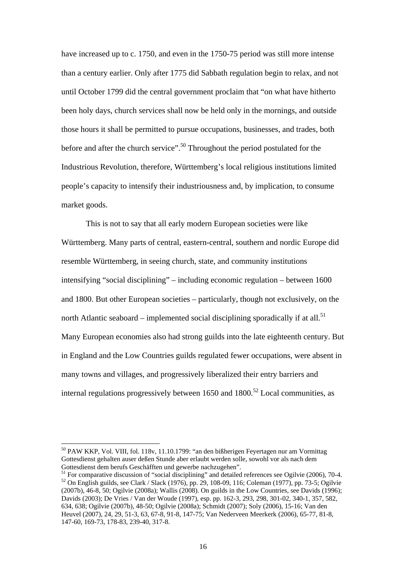have increased up to c. 1750, and even in the 1750-75 period was still more intense than a century earlier. Only after 1775 did Sabbath regulation begin to relax, and not until October 1799 did the central government proclaim that "on what have hitherto been holy days, church services shall now be held only in the mornings, and outside those hours it shall be permitted to pursue occupations, businesses, and trades, both before and after the church service".<sup>50</sup> Throughout the period postulated for the Industrious Revolution, therefore, Württemberg's local religious institutions limited people's capacity to intensify their industriousness and, by implication, to consume market goods.

 This is not to say that all early modern European societies were like Württemberg. Many parts of central, eastern-central, southern and nordic Europe did resemble Württemberg, in seeing church, state, and community institutions intensifying "social disciplining" – including economic regulation – between 1600 and 1800. But other European societies – particularly, though not exclusively, on the north Atlantic seaboard – implemented social disciplining sporadically if at all.<sup>51</sup> Many European economies also had strong guilds into the late eighteenth century. But in England and the Low Countries guilds regulated fewer occupations, were absent in many towns and villages, and progressively liberalized their entry barriers and internal regulations progressively between  $1650$  and  $1800$ <sup>52</sup> Local communities, as

<sup>50</sup> PAW KKP, Vol. VIII, fol. 118v, 11.10.1799: "an den bißherigen Feyertagen nur am Vormittag Gottesdienst gehalten auser deßen Stunde aber erlaubt werden solle, sowohl vor als nach dem Gottesdienst dem berufs Geschäfften und gewerbe nachzugehen".

<sup>51</sup> For comparative discussion of "social disciplining" and detailed references see Ogilvie (2006), 70-4.<br> $52$  On English guilds, see Clark / Slack (1976), pp. 29, 108-09, 116; Coleman (1977), pp. 73-5; Ogilvie (2007b), 46-8, 50; Ogilvie (2008a); Wallis (2008). On guilds in the Low Countries, see Davids (1996); Davids (2003); De Vries / Van der Woude (1997), esp. pp. 162-3, 293, 298, 301-02, 340-1, 357, 582, 634, 638; Ogilvie (2007b), 48-50; Ogilvie (2008a); Schmidt (2007); Soly (2006), 15-16; Van den Heuvel (2007), 24, 29, 51-3, 63, 67-8, 91-8, 147-75; Van Nederveen Meerkerk (2006), 65-77, 81-8, 147-60, 169-73, 178-83, 239-40, 317-8.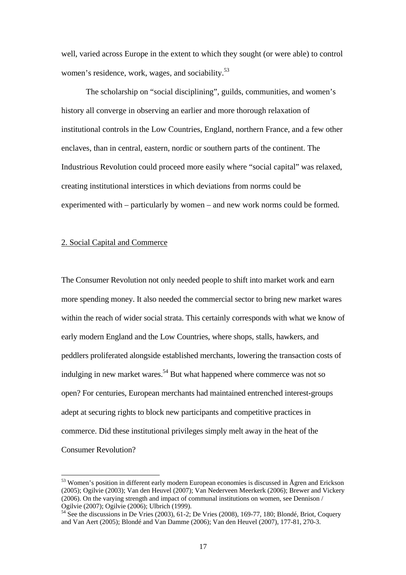well, varied across Europe in the extent to which they sought (or were able) to control women's residence, work, wages, and sociability.<sup>53</sup>

 The scholarship on "social disciplining", guilds, communities, and women's history all converge in observing an earlier and more thorough relaxation of institutional controls in the Low Countries, England, northern France, and a few other enclaves, than in central, eastern, nordic or southern parts of the continent. The Industrious Revolution could proceed more easily where "social capital" was relaxed, creating institutional interstices in which deviations from norms could be experimented with – particularly by women – and new work norms could be formed.

## 2. Social Capital and Commerce

 $\ddot{\phantom{a}}$ 

The Consumer Revolution not only needed people to shift into market work and earn more spending money. It also needed the commercial sector to bring new market wares within the reach of wider social strata. This certainly corresponds with what we know of early modern England and the Low Countries, where shops, stalls, hawkers, and peddlers proliferated alongside established merchants, lowering the transaction costs of indulging in new market wares.<sup>54</sup> But what happened where commerce was not so open? For centuries, European merchants had maintained entrenched interest-groups adept at securing rights to block new participants and competitive practices in commerce. Did these institutional privileges simply melt away in the heat of the Consumer Revolution?

<sup>&</sup>lt;sup>53</sup> Women's position in different early modern European economies is discussed in Ågren and Erickson (2005); Ogilvie (2003); Van den Heuvel (2007); Van Nederveen Meerkerk (2006); Brewer and Vickery (2006). On the varying strength and impact of communal institutions on women, see Dennison / Ogilvie (2007); Ogilvie (2006); Ulbrich (1999).

<sup>54</sup> See the discussions in De Vries (2003), 61-2; De Vries (2008), 169-77, 180; Blondé, Briot, Coquery and Van Aert (2005); Blondé and Van Damme (2006); Van den Heuvel (2007), 177-81, 270-3.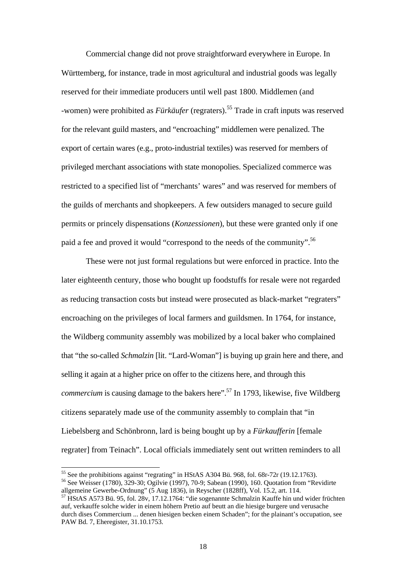Commercial change did not prove straightforward everywhere in Europe. In Württemberg, for instance, trade in most agricultural and industrial goods was legally reserved for their immediate producers until well past 1800. Middlemen (and -women) were prohibited as *Fürkäufer* (regraters).55 Trade in craft inputs was reserved for the relevant guild masters, and "encroaching" middlemen were penalized. The export of certain wares (e.g., proto-industrial textiles) was reserved for members of privileged merchant associations with state monopolies. Specialized commerce was restricted to a specified list of "merchants' wares" and was reserved for members of the guilds of merchants and shopkeepers. A few outsiders managed to secure guild permits or princely dispensations (*Konzessionen*), but these were granted only if one paid a fee and proved it would "correspond to the needs of the community".<sup>56</sup>

 These were not just formal regulations but were enforced in practice. Into the later eighteenth century, those who bought up foodstuffs for resale were not regarded as reducing transaction costs but instead were prosecuted as black-market "regraters" encroaching on the privileges of local farmers and guildsmen. In 1764, for instance, the Wildberg community assembly was mobilized by a local baker who complained that "the so-called *Schmalzin* [lit. "Lard-Woman"] is buying up grain here and there, and selling it again at a higher price on offer to the citizens here, and through this *commercium* is causing damage to the bakers here".<sup>57</sup> In 1793, likewise, five Wildberg citizens separately made use of the community assembly to complain that "in Liebelsberg and Schönbronn, lard is being bought up by a *Fürkaufferin* [female regrater] from Teinach". Local officials immediately sent out written reminders to all

 $55$  See the prohibitions against "regrating" in HStAS A304 Bü. 968, fol. 68r-72r (19.12.1763).

<sup>56</sup> See Weisser (1780), 329-30; Ogilvie (1997), 70-9; Sabean (1990), 160. Quotation from "Revidirte allgemeine Gewerbe-Ordnung" (5 Aug 1836), in Reyscher (1828ff), Vol. 15.2, art. 114.

<sup>57</sup> HStAS A573 Bü. 95, fol. 28v, 17.12.1764: "die sogenannte Schmalzin Kauffe hin und wider früchten auf, verkauffe solche wider in einem höhern Pretio auf beutt an die hiesige burgere und verusache durch dises Commercium ... denen hiesigen becken einem Schaden"; for the plainant's occupation, see PAW Bd. 7, Eheregister, 31.10.1753.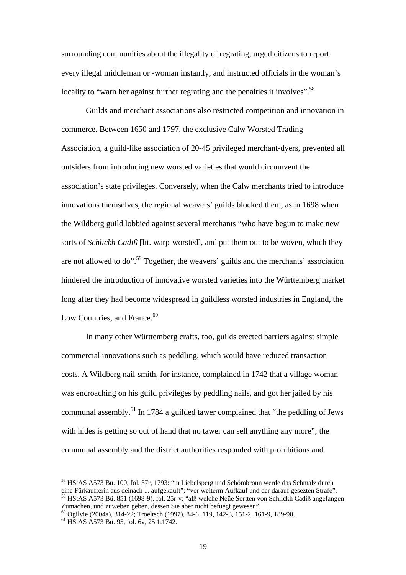surrounding communities about the illegality of regrating, urged citizens to report every illegal middleman or -woman instantly, and instructed officials in the woman's locality to "warn her against further regrating and the penalties it involves".<sup>58</sup>

 Guilds and merchant associations also restricted competition and innovation in commerce. Between 1650 and 1797, the exclusive Calw Worsted Trading Association, a guild-like association of 20-45 privileged merchant-dyers, prevented all outsiders from introducing new worsted varieties that would circumvent the association's state privileges. Conversely, when the Calw merchants tried to introduce innovations themselves, the regional weavers' guilds blocked them, as in 1698 when the Wildberg guild lobbied against several merchants "who have begun to make new sorts of *Schlickh Cadiß* [lit. warp-worsted], and put them out to be woven, which they are not allowed to do".59 Together, the weavers' guilds and the merchants' association hindered the introduction of innovative worsted varieties into the Württemberg market long after they had become widespread in guildless worsted industries in England, the Low Countries, and France.<sup>60</sup>

 In many other Württemberg crafts, too, guilds erected barriers against simple commercial innovations such as peddling, which would have reduced transaction costs. A Wildberg nail-smith, for instance, complained in 1742 that a village woman was encroaching on his guild privileges by peddling nails, and got her jailed by his communal assembly.<sup>61</sup> In 1784 a guilded tawer complained that "the peddling of Jews with hides is getting so out of hand that no tawer can sell anything any more"; the communal assembly and the district authorities responded with prohibitions and

 $\ddot{\phantom{a}}$ 

<sup>&</sup>lt;sup>58</sup> HStAS A573 Bü. 100, fol. 37r, 1793: "in Liebelsperg und Schömbronn werde das Schmalz durch eine Fürkaufferin aus deinach ... aufgekauft"; "vor weiterm Aufkauf und der darauf gesezten Strafe". 59 HStAS A573 Bü. 851 (1698-9), fol. 25r-v: "alß welche Neüe Sortten von Schlickh Cadiß angefangen Zumachen, und zuweben geben, dessen Sie aber nicht befuegt gewesen".

<sup>60</sup> Ogilvie (2004a), 314-22; Troeltsch (1997), 84-6, 119, 142-3, 151-2, 161-9, 189-90.

<sup>61</sup> HStAS A573 Bü. 95, fol. 6v, 25.1.1742.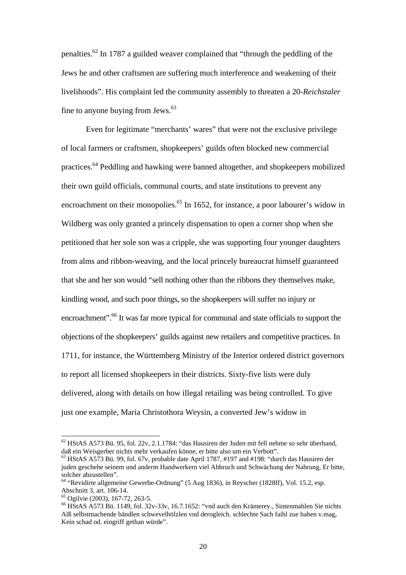penalties.<sup>62</sup> In 1787 a guilded weaver complained that "through the peddling of the Jews he and other craftsmen are suffering much interference and weakening of their livelihoods". His complaint led the community assembly to threaten a 20-*Reichstaler* fine to anyone buying from Jews. $63$ 

 Even for legitimate "merchants' wares" that were not the exclusive privilege of local farmers or craftsmen, shopkeepers' guilds often blocked new commercial practices.64 Peddling and hawking were banned altogether, and shopkeepers mobilized their own guild officials, communal courts, and state institutions to prevent any encroachment on their monopolies.<sup>65</sup> In 1652, for instance, a poor labourer's widow in Wildberg was only granted a princely dispensation to open a corner shop when she petitioned that her sole son was a cripple, she was supporting four younger daughters from alms and ribbon-weaving, and the local princely bureaucrat himself guaranteed that she and her son would "sell nothing other than the ribbons they themselves make, kindling wood, and such poor things, so the shopkeepers will suffer no injury or encroachment".<sup>66</sup> It was far more typical for communal and state officials to support the objections of the shopkeepers' guilds against new retailers and competitive practices. In 1711, for instance, the Württemberg Ministry of the Interior ordered district governors to report all licensed shopkeepers in their districts. Sixty-five lists were duly delivered, along with details on how illegal retailing was being controlled. To give just one example, Maria Christothora Weysin, a converted Jew's widow in

 $62$  HStAS A573 Bü. 95, fol. 22v, 2.1.1784: "das Hausiren der Juden mit fell nehme so sehr überhand, daß ein Weisgerber nichts mehr verkaufen könne, er bitte also um ein Verbott".

<sup>63</sup> HStAS A573 Bü. 99, fol. 67v, probable date April 1787, #197 and #198: "durch das Hausiren der juden geschehe seinem und anderm Handwerkern viel Abbruch und Schwächung der Nahrung, Er bitte, solcher abzustellen".

<sup>64 &</sup>quot;Revidirte allgemeine Gewerbe-Ordnung" (5 Aug 1836), in Reyscher (1828ff), Vol. 15.2, esp. Abschnitt 3, art. 106-14.

<sup>65</sup> Ogilvie (2003), 167-72, 263-5.

<sup>66</sup> HStAS A573 Bü. 1149, fol. 32v-33v, 16.7.1652: "vnd auch den Krämerey., Sintenmahlen Sie nichts Alß selbstmachende bändlen schwevelhölzlen vnd derogleich. schlechte Sach faihl zue haben v.mag, Kein schad od. eingriff gethan würde".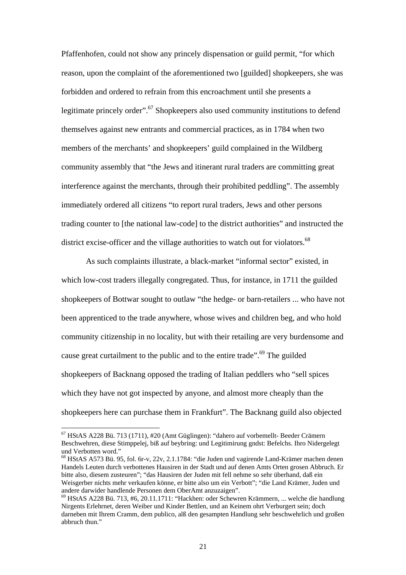Pfaffenhofen, could not show any princely dispensation or guild permit, "for which reason, upon the complaint of the aforementioned two [guilded] shopkeepers, she was forbidden and ordered to refrain from this encroachment until she presents a legitimate princely order".<sup>67</sup> Shopkeepers also used community institutions to defend themselves against new entrants and commercial practices, as in 1784 when two members of the merchants' and shopkeepers' guild complained in the Wildberg community assembly that "the Jews and itinerant rural traders are committing great interference against the merchants, through their prohibited peddling". The assembly immediately ordered all citizens "to report rural traders, Jews and other persons trading counter to [the national law-code] to the district authorities" and instructed the district excise-officer and the village authorities to watch out for violators.<sup>68</sup>

 As such complaints illustrate, a black-market "informal sector" existed, in which low-cost traders illegally congregated. Thus, for instance, in 1711 the guilded shopkeepers of Bottwar sought to outlaw "the hedge- or barn-retailers ... who have not been apprenticed to the trade anywhere, whose wives and children beg, and who hold community citizenship in no locality, but with their retailing are very burdensome and cause great curtailment to the public and to the entire trade".<sup>69</sup> The guilded shopkeepers of Backnang opposed the trading of Italian peddlers who "sell spices which they have not got inspected by anyone, and almost more cheaply than the shopkeepers here can purchase them in Frankfurt". The Backnang guild also objected

 $\ddot{\phantom{a}}$ 

<sup>67</sup> HStAS A228 Bü. 713 (1711), #20 (Amt Güglingen): "dahero auf vorbemellt- Beeder Crämern Beschwehren, diese Stimppelej, biß auf beybring: und Legitimirung gndst: Befelchs. Ihro Nidergelegt und Verbotten word."

<sup>68</sup> HStAS A573 Bü. 95, fol. 6r-v, 22v, 2.1.1784: "die Juden und vagirende Land-Krämer machen denen Handels Leuten durch verbottenes Hausiren in der Stadt und auf denen Amts Orten grosen Abbruch. Er bitte also, diesem zusteuren"; "das Hausiren der Juden mit fell nehme so sehr überhand, daß ein Weisgerber nichts mehr verkaufen könne, er bitte also um ein Verbott"; "die Land Krämer, Juden und andere darwider handlende Personen dem OberAmt anzuzaigen".

<sup>69</sup> HStAS A228 Bü. 713, #6, 20.11.1711: "Hackhen: oder Schewren Krämmern, ... welche die handlung Nirgents Erlehrnet, deren Weiber und Kinder Bettlen, und an Keinem ohrt Verburgert sein; doch darneben mit Ihrem Cramm, dem publico, alß den gesampten Handlung sehr beschwehrlich und großen abbruch thun."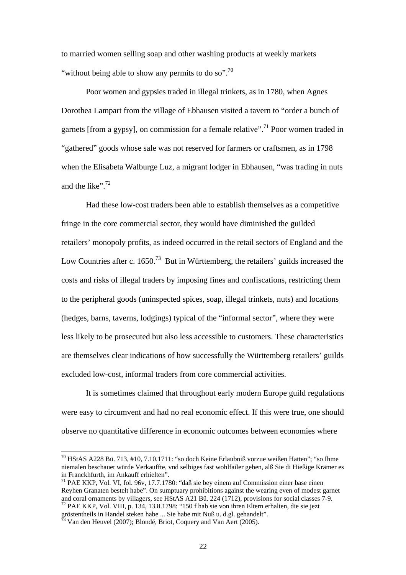to married women selling soap and other washing products at weekly markets "without being able to show any permits to do so".<sup>70</sup>

 Poor women and gypsies traded in illegal trinkets, as in 1780, when Agnes Dorothea Lampart from the village of Ebhausen visited a tavern to "order a bunch of garnets [from a gypsy], on commission for a female relative".<sup>71</sup> Poor women traded in "gathered" goods whose sale was not reserved for farmers or craftsmen, as in 1798 when the Elisabeta Walburge Luz, a migrant lodger in Ebhausen, "was trading in nuts and the like".  $72$ 

 Had these low-cost traders been able to establish themselves as a competitive fringe in the core commercial sector, they would have diminished the guilded retailers' monopoly profits, as indeed occurred in the retail sectors of England and the Low Countries after c. 1650.<sup>73</sup> But in Württemberg, the retailers' guilds increased the costs and risks of illegal traders by imposing fines and confiscations, restricting them to the peripheral goods (uninspected spices, soap, illegal trinkets, nuts) and locations (hedges, barns, taverns, lodgings) typical of the "informal sector", where they were less likely to be prosecuted but also less accessible to customers. These characteristics are themselves clear indications of how successfully the Württemberg retailers' guilds excluded low-cost, informal traders from core commercial activities.

 It is sometimes claimed that throughout early modern Europe guild regulations were easy to circumvent and had no real economic effect. If this were true, one should observe no quantitative difference in economic outcomes between economies where

 $\ddot{\phantom{a}}$ 

<sup>70</sup> HStAS A228 Bü. 713, #10, 7.10.1711: "so doch Keine Erlaubniß vorzue weißen Hatten"; "so Ihme niemalen beschauet würde Verkauffte, vnd selbiges fast wohlfailer geben, alß Sie di Hießige Krämer es in Franckhfurth, im Ankauff erhielten".

<sup>71</sup> PAE KKP, Vol. VI, fol. 96v, 17.7.1780: "daß sie bey einem auf Commission einer base einen Reyhen Granaten bestelt habe". On sumptuary prohibitions against the wearing even of modest garnet and coral ornaments by villagers, see HStAS A21 Bü. 224 (1712), provisions for social classes 7-9. <sup>72</sup> PAE KKP, Vol. VIII, p. 134, 13.8.1798: "150 f hab sie von ihren Eltern erhalten, die sie jezt

gröstentheils in Handel steken habe ... Sie habe mit Nuß u. d.gl. gehandelt".

 $3 \text{ Van}$  den Heuvel (2007); Blondé, Briot, Coquery and Van Aert (2005).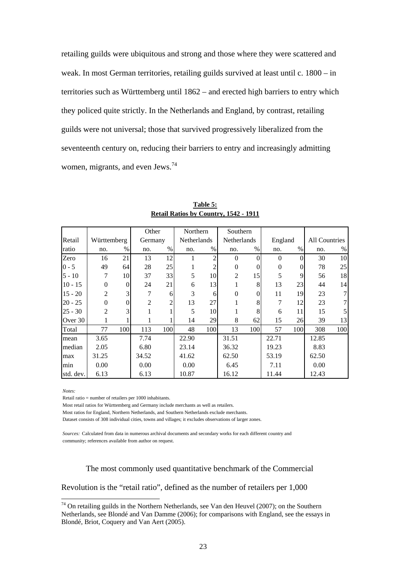retailing guilds were ubiquitous and strong and those where they were scattered and weak. In most German territories, retailing guilds survived at least until c. 1800 – in territories such as Württemberg until 1862 – and erected high barriers to entry which they policed quite strictly. In the Netherlands and England, by contrast, retailing guilds were not universal; those that survived progressively liberalized from the seventeenth century on, reducing their barriers to entry and increasingly admitting women, migrants, and even Jews.74

|           |             |          | Other          |                | Northern    |      | Southern       |          |          |          |                      |      |
|-----------|-------------|----------|----------------|----------------|-------------|------|----------------|----------|----------|----------|----------------------|------|
| Retail    | Württemberg |          | Germany        |                | Netherlands |      | Netherlands    |          | England  |          | <b>All Countries</b> |      |
| ratio     | no.         | $\%$     | no.            | $\%$           | no.         | $\%$ | no.            | $\%$     | no.      | $\%$     | no.                  | $\%$ |
| Zero      | 16          | 21       | 13             | 12             |             | っ    | $\Omega$       | 0        | $\Omega$ | $\Omega$ | 30                   | 10   |
| $0 - 5$   | 49          | 64       | 28             | 25             | 1           |      | $\Omega$       | $\Omega$ | $\Omega$ | $\Omega$ | 78                   | 25   |
| $5 - 10$  | 7           | 10       | 37             | 33             | 5           | 10   | $\overline{2}$ | 15       | 5        | 9        | 56                   | 18   |
| $10 - 15$ | $\Omega$    | $\theta$ | 24             | 21             | 6           | 13   |                | 8        | 13       | 23       | 44                   | 14   |
| $15 - 20$ | 2           | 3        |                | 6              | 3           | 6    | $\Omega$       | $\Omega$ | 11       | 19       | 23                   | 7    |
| $20 - 25$ | $\Omega$    | $\theta$ | $\overline{2}$ | $\overline{c}$ | 13          | 27   |                | 8        | 7        | 12       | 23                   |      |
| $25 - 30$ | 2           | 3        |                |                | 5           | 10   |                | 8        | 6        | 11       | 15                   |      |
| Over 30   |             |          |                |                | 14          | 29   | 8              | 62       | 15       | 26       | 39                   | 13   |
| Total     | 77          | 100      | 113            | 100            | 48          | 100  | 13             | 100      | 57       | 100      | 308                  | 100  |
| mean      | 3.65        |          | 7.74           |                | 22.90       |      | 31.51          |          | 22.71    |          | 12.85                |      |
| median    | 2.05        |          | 6.80           |                | 23.14       |      | 36.32          |          | 19.23    |          | 8.83                 |      |
| max       | 31.25       |          | 34.52          |                | 41.62       |      | 62.50          |          | 53.19    |          | 62.50                |      |
| min       | 0.00        |          | 0.00           |                | 0.00        |      | 6.45           |          | 7.11     |          | 0.00                 |      |
| std. dev. | 6.13        |          | 6.13           |                | 10.87       |      | 16.12          |          | 11.44    |          | 12.43                |      |

**Table 5: Retail Ratios by Country, 1542 - 1911**

*Notes:*

 $\ddot{\phantom{a}}$ 

Retail ratio = number of retailers per 1000 inhabitants.

Most retail ratios for Württemberg and Germany include merchants as well as retailers.

Most ratios for England, Northern Netherlands, and Southern Netherlands exclude merchants.

Dataset consists of 308 individual cities, towns and villages; it excludes observations of larger zones.

*Sources:* Calculated from data in numerous archival documents and secondary works for each different country and community; references available from author on request.

The most commonly used quantitative benchmark of the Commercial

Revolution is the "retail ratio", defined as the number of retailers per 1,000

 $74$  On retailing guilds in the Northern Netherlands, see Van den Heuvel (2007); on the Southern Netherlands, see Blondé and Van Damme (2006); for comparisons with England, see the essays in Blondé, Briot, Coquery and Van Aert (2005).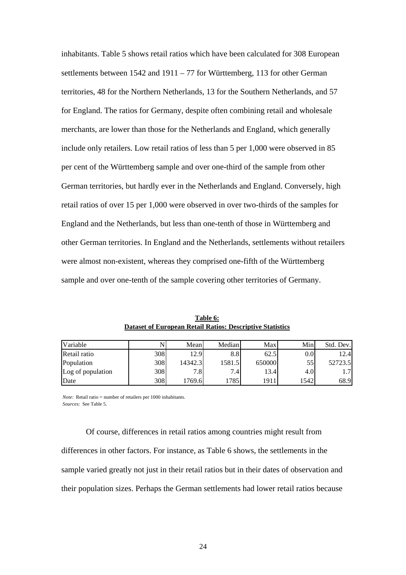inhabitants. Table 5 shows retail ratios which have been calculated for 308 European settlements between  $1542$  and  $1911 - 77$  for Württemberg, 113 for other German territories, 48 for the Northern Netherlands, 13 for the Southern Netherlands, and 57 for England. The ratios for Germany, despite often combining retail and wholesale merchants, are lower than those for the Netherlands and England, which generally include only retailers. Low retail ratios of less than 5 per 1,000 were observed in 85 per cent of the Württemberg sample and over one-third of the sample from other German territories, but hardly ever in the Netherlands and England. Conversely, high retail ratios of over 15 per 1,000 were observed in over two-thirds of the samples for England and the Netherlands, but less than one-tenth of those in Württemberg and other German territories. In England and the Netherlands, settlements without retailers were almost non-existent, whereas they comprised one-fifth of the Württemberg sample and over one-tenth of the sample covering other territories of Germany.

| Variable          |     | Mean     | Median  | Max    | Min     | Std. Dev. |
|-------------------|-----|----------|---------|--------|---------|-----------|
| Retail ratio      | 308 | 12.9     | 8.8     | 62.5   | $0.0\,$ | 12.4      |
| Population        | 308 | 14342.31 | 1581.5  | 650000 | 55      | 52723.5   |
| Log of population | 308 | 7.8      | $7.4_1$ | 3.4    | 4.0     | 1.7       |
| Date              | 308 | 1769.6   | .785    | 1911   | 1542    | 68.9      |

**Table 6: Dataset of European Retail Ratios: Descriptive Statistics**

*Note:* Retail ratio = number of retailers per 1000 inhabitants. *Sources:* See Table 5.

 Of course, differences in retail ratios among countries might result from differences in other factors. For instance, as Table 6 shows, the settlements in the sample varied greatly not just in their retail ratios but in their dates of observation and their population sizes. Perhaps the German settlements had lower retail ratios because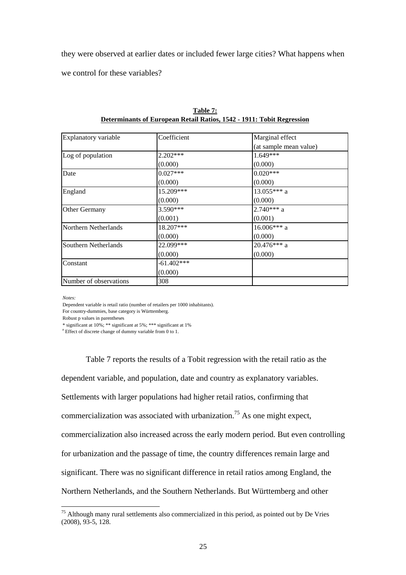they were observed at earlier dates or included fewer large cities? What happens when

we control for these variables?

| Explanatory variable   | Coefficient  | Marginal effect        |
|------------------------|--------------|------------------------|
|                        |              | (at sample mean value) |
| Log of population      | 2.202***     | 1.649***               |
|                        | (0.000)      | (0.000)                |
| Date                   | $0.027***$   | $0.020***$             |
|                        | (0.000)      | (0.000)                |
| England                | 15.209***    | $13.055***$ a          |
|                        | (0.000)      | (0.000)                |
| Other Germany          | $3.590***$   | $2.740***$ a           |
|                        | (0.001)      | (0.001)                |
| Northern Netherlands   | 18.207***    | $16.006***$ a          |
|                        | (0.000)      | (0.000)                |
| Southern Netherlands   | 22.099***    | $20.476***$ a          |
|                        | (0.000)      | (0.000)                |
| Constant               | $-61.402***$ |                        |
|                        | (0.000)      |                        |
| Number of observations | 308          |                        |

| Table 7:                                                              |
|-----------------------------------------------------------------------|
| Determinants of European Retail Ratios, 1542 - 1911: Tobit Regression |

*Notes:*

 $\overline{a}$ 

Dependent variable is retail ratio (number of retailers per 1000 inhabitants).

For country-dummies, base category is Württemberg.

Robust p values in parentheses

\* significant at 10%; \*\* significant at 5%; \*\*\* significant at 1%

<sup>a</sup> Effect of discrete change of dummy variable from 0 to 1.

 Table 7 reports the results of a Tobit regression with the retail ratio as the dependent variable, and population, date and country as explanatory variables. Settlements with larger populations had higher retail ratios, confirming that commercialization was associated with urbanization.<sup>75</sup> As one might expect, commercialization also increased across the early modern period. But even controlling for urbanization and the passage of time, the country differences remain large and significant. There was no significant difference in retail ratios among England, the Northern Netherlands, and the Southern Netherlands. But Württemberg and other

 $75$  Although many rural settlements also commercialized in this period, as pointed out by De Vries (2008), 93-5, 128.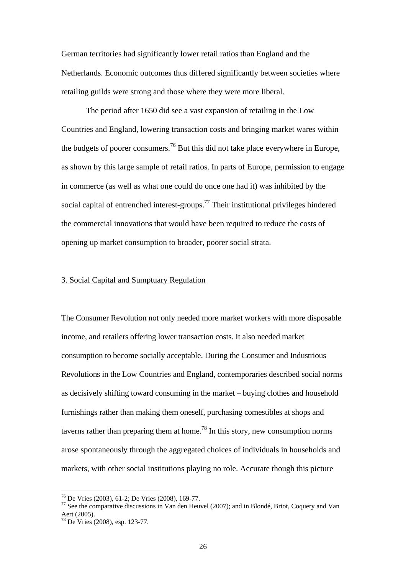German territories had significantly lower retail ratios than England and the Netherlands. Economic outcomes thus differed significantly between societies where retailing guilds were strong and those where they were more liberal.

 The period after 1650 did see a vast expansion of retailing in the Low Countries and England, lowering transaction costs and bringing market wares within the budgets of poorer consumers.<sup>76</sup> But this did not take place everywhere in Europe, as shown by this large sample of retail ratios. In parts of Europe, permission to engage in commerce (as well as what one could do once one had it) was inhibited by the social capital of entrenched interest-groups.<sup>77</sup> Their institutional privileges hindered the commercial innovations that would have been required to reduce the costs of opening up market consumption to broader, poorer social strata.

## 3. Social Capital and Sumptuary Regulation

The Consumer Revolution not only needed more market workers with more disposable income, and retailers offering lower transaction costs. It also needed market consumption to become socially acceptable. During the Consumer and Industrious Revolutions in the Low Countries and England, contemporaries described social norms as decisively shifting toward consuming in the market – buying clothes and household furnishings rather than making them oneself, purchasing comestibles at shops and taverns rather than preparing them at home.<sup>78</sup> In this story, new consumption norms arose spontaneously through the aggregated choices of individuals in households and markets, with other social institutions playing no role. Accurate though this picture

<sup>76</sup> De Vries (2003), 61-2; De Vries (2008), 169-77.

 $77$  See the comparative discussions in Van den Heuvel (2007); and in Blondé, Briot, Coquery and Van Aert (2005).

<sup>78</sup> De Vries (2008), esp. 123-77.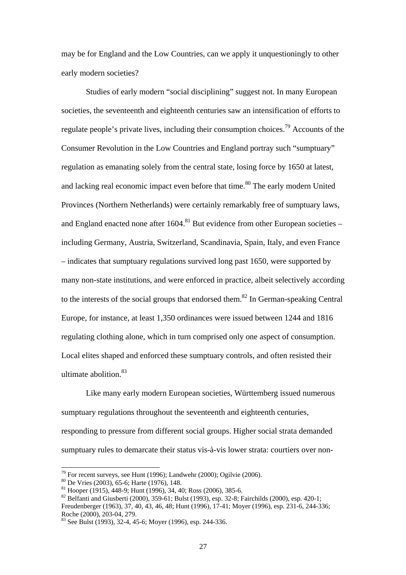may be for England and the Low Countries, can we apply it unquestioningly to other early modern societies?

 Studies of early modern "social disciplining" suggest not. In many European societies, the seventeenth and eighteenth centuries saw an intensification of efforts to regulate people's private lives, including their consumption choices.<sup>79</sup> Accounts of the Consumer Revolution in the Low Countries and England portray such "sumptuary" regulation as emanating solely from the central state, losing force by 1650 at latest, and lacking real economic impact even before that time.<sup>80</sup> The early modern United Provinces (Northern Netherlands) were certainly remarkably free of sumptuary laws, and England enacted none after  $1604$ .<sup>81</sup> But evidence from other European societies – including Germany, Austria, Switzerland, Scandinavia, Spain, Italy, and even France – indicates that sumptuary regulations survived long past 1650, were supported by many non-state institutions, and were enforced in practice, albeit selectively according to the interests of the social groups that endorsed them.<sup>82</sup> In German-speaking Central Europe, for instance, at least 1,350 ordinances were issued between 1244 and 1816 regulating clothing alone, which in turn comprised only one aspect of consumption. Local elites shaped and enforced these sumptuary controls, and often resisted their ultimate abolition.<sup>83</sup>

 Like many early modern European societies, Württemberg issued numerous sumptuary regulations throughout the seventeenth and eighteenth centuries, responding to pressure from different social groups. Higher social strata demanded sumptuary rules to demarcate their status vis-à-vis lower strata: courtiers over non-

<sup>&</sup>lt;sup>79</sup> For recent surveys, see Hunt (1996); Landwehr (2000); Ogilvie (2006).  $80$  De Vries (2003), 65-6; Harte (1976), 148.

 $\frac{80}{100}$  De Vries (2003), 65-6; Harte (1976), 148.<br>
<sup>81</sup> Hooper (1915), 448-9; Hunt (1996), 34, 40; Ross (2006), 385-6.

<sup>&</sup>lt;sup>82</sup> Belfanti and Giusberti (2000), 359-61; Bulst (1993), esp. 32-8; Fairchilds (2000), esp. 420-1;

Freudenberger (1963), 37, 40, 43, 46, 48; Hunt (1996), 17-41; Moyer (1996), esp. 231-6, 244-336; Roche (2000), 203-04, 279.

<sup>83</sup> See Bulst (1993), 32-4, 45-6; Moyer (1996), esp. 244-336.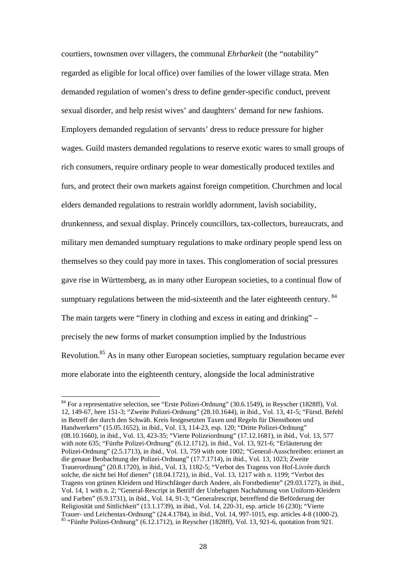courtiers, townsmen over villagers, the communal *Ehrbarkeit* (the "notability" regarded as eligible for local office) over families of the lower village strata. Men demanded regulation of women's dress to define gender-specific conduct, prevent sexual disorder, and help resist wives' and daughters' demand for new fashions. Employers demanded regulation of servants' dress to reduce pressure for higher wages. Guild masters demanded regulations to reserve exotic wares to small groups of rich consumers, require ordinary people to wear domestically produced textiles and furs, and protect their own markets against foreign competition. Churchmen and local elders demanded regulations to restrain worldly adornment, lavish sociability, drunkenness, and sexual display. Princely councillors, tax-collectors, bureaucrats, and military men demanded sumptuary regulations to make ordinary people spend less on themselves so they could pay more in taxes. This conglomeration of social pressures gave rise in Württemberg, as in many other European societies, to a continual flow of sumptuary regulations between the mid-sixteenth and the later eighteenth century. <sup>84</sup> The main targets were "finery in clothing and excess in eating and drinking" – precisely the new forms of market consumption implied by the Industrious Revolution.85 As in many other European societies, sumptuary regulation became ever more elaborate into the eighteenth century, alongside the local administrative

<sup>84</sup> For a representative selection, see "Erste Polizei-Ordnung" (30.6.1549), in Reyscher (1828ff), Vol. 12, 149-67, here 151-3; "Zweite Polizei-Ordnung" (28.10.1644), in ibid., Vol. 13, 41-5; "Fürstl. Befehl in Betreff der durch den Schwäb. Kreis festgesetzten Taxen und Regeln für Dienstboten und Handwerkern" (15.05.1652), in ibid., Vol. 13, 114-23, esp. 120; "Dritte Polizei-Ordnung" (08.10.1660), in ibid., Vol. 13, 423-35; "Vierte Polizeiordnung" (17.12.1681), in ibid., Vol. 13, 577 with note 635; "Fünfte Polizei-Ordnung" (6.12.1712), in ibid., Vol. 13, 921-6; "Erläuterung der Polizei-Ordnung" (2.5.1713), in ibid., Vol. 13, 759 with note 1002; "General-Ausschreiben: erinnert an die genaue Beobachtung der Polizei-Ordnung" (17.7.1714), in ibid., Vol. 13, 1023; Zweite Trauerordnung" (20.8.1720), in ibid., Vol. 13, 1182-5; "Verbot des Tragens von Hof-Livrée durch solche, die nicht bei Hof dienen" (18.04.1721), in ibid., Vol. 13, 1217 with n. 1199; "Verbot des Tragens von grünen Kleidern und Hirschfänger durch Andere, als Forstbediente" (29.03.1727), in ibid., Vol. 14, 1 with n. 2; "General-Rescript in Betriff der Unbefugten Nachahmung von Uniform-Kleidern und Farben" (6.9.1731), in ibid., Vol. 14, 91-3; "Generalrescript, betreffend die Beförderung der Religiosität und Sittlichkeit" (13.1.1739), in ibid., Vol. 14, 220-31, esp. article 16 (230); "Vierte<br>Trauer- und Leichentax-Ordnung" (24.4.1784), in ibid., Vol. 14, 997-1015, esp. articles 4-8 (1000-2).  $85$  "Fünfte Polizei-Ordnung" (6.12.1712), in Reyscher (1828ff), Vol. 13, 921-6, quotation from 921.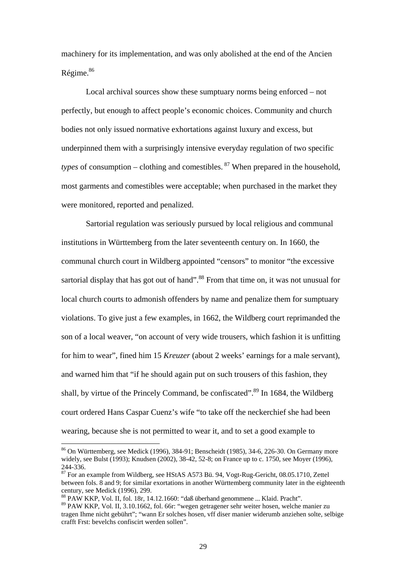machinery for its implementation, and was only abolished at the end of the Ancien Régime.<sup>86</sup>

 Local archival sources show these sumptuary norms being enforced – not perfectly, but enough to affect people's economic choices. Community and church bodies not only issued normative exhortations against luxury and excess, but underpinned them with a surprisingly intensive everyday regulation of two specific *types* of consumption – clothing and comestibles.  $87$  When prepared in the household, most garments and comestibles were acceptable; when purchased in the market they were monitored, reported and penalized.

 Sartorial regulation was seriously pursued by local religious and communal institutions in Württemberg from the later seventeenth century on. In 1660, the communal church court in Wildberg appointed "censors" to monitor "the excessive sartorial display that has got out of hand".<sup>88</sup> From that time on, it was not unusual for local church courts to admonish offenders by name and penalize them for sumptuary violations. To give just a few examples, in 1662, the Wildberg court reprimanded the son of a local weaver, "on account of very wide trousers, which fashion it is unfitting for him to wear", fined him 15 *Kreuzer* (about 2 weeks' earnings for a male servant), and warned him that "if he should again put on such trousers of this fashion, they shall, by virtue of the Princely Command, be confiscated".<sup>89</sup> In 1684, the Wildberg court ordered Hans Caspar Cuenz's wife "to take off the neckerchief she had been wearing, because she is not permitted to wear it, and to set a good example to

88 PAW KKP, Vol. II, fol. 18r, 14.12.1660: "daß überhand genommene ... Klaid. Pracht".

<sup>86</sup> On Württemberg, see Medick (1996), 384-91; Benscheidt (1985), 34-6, 226-30. On Germany more widely, see Bulst (1993); Knudsen (2002), 38-42, 52-8; on France up to c. 1750, see Moyer (1996), 244-336.

<sup>87</sup> For an example from Wildberg, see HStAS A573 Bü. 94, Vogt-Rug-Gericht, 08.05.1710, Zettel between fols. 8 and 9; for similar exortations in another Württemberg community later in the eighteenth century, see Medick (1996), 299.

<sup>89</sup> PAW KKP, Vol. II, 3.10.1662, fol. 66r: "wegen getragener sehr weiter hosen, welche manier zu tragen Ihme nicht gebührt"; "wann Er solches hosen, vff diser manier widerumb anziehen solte, selbige crafft Frst: bevelchs confiscirt werden sollen".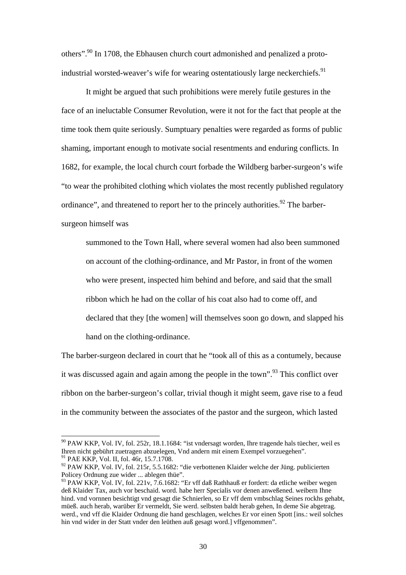others".90 In 1708, the Ebhausen church court admonished and penalized a protoindustrial worsted-weaver's wife for wearing ostentatiously large neckerchiefs.<sup>91</sup>

 It might be argued that such prohibitions were merely futile gestures in the face of an ineluctable Consumer Revolution, were it not for the fact that people at the time took them quite seriously. Sumptuary penalties were regarded as forms of public shaming, important enough to motivate social resentments and enduring conflicts. In 1682, for example, the local church court forbade the Wildberg barber-surgeon's wife "to wear the prohibited clothing which violates the most recently published regulatory ordinance", and threatened to report her to the princely authorities.<sup>92</sup> The barbersurgeon himself was

summoned to the Town Hall, where several women had also been summoned on account of the clothing-ordinance, and Mr Pastor, in front of the women who were present, inspected him behind and before, and said that the small ribbon which he had on the collar of his coat also had to come off, and declared that they [the women] will themselves soon go down, and slapped his hand on the clothing-ordinance.

The barber-surgeon declared in court that he "took all of this as a contumely, because it was discussed again and again among the people in the town".<sup>93</sup> This conflict over ribbon on the barber-surgeon's collar, trivial though it might seem, gave rise to a feud in the community between the associates of the pastor and the surgeon, which lasted

<sup>&</sup>lt;sup>90</sup> PAW KKP. Vol. IV, fol. 252r, 18.1.1684: "ist vndersagt worden, Ihre tragende hals tüecher, weil es Ihren nicht gebührt zuetragen abzuelegen, Vnd andern mit einem Exempel vorzuegehen". <sup>91</sup> PAE KKP, Vol. II, fol. 46r, 15.7.1708.

<sup>&</sup>lt;sup>92</sup> PAW KKP, Vol. IV, fol. 215r, 5.5.1682: "die verbottenen Klaider welche der Jüng. publicierten Policey Ordnung zue wider ... ablegen thüe".

 $93$  PAW KKP, Vol. IV, fol. 221v, 7.6.1682: "Er vff daß Rathhauß er fordert: da etliche weiber wegen deß Klaider Tax, auch vor beschaid. word. habe herr Specialis vor denen anweßened. weibern Ihne hind. vnd vornnen besichtigt vnd gesagt die Schnierlen, so Er vff dem vmbschlag Seines rockhs gehabt, müeß. auch herab, warüber Er vermeldt, Sie werd. selbsten baldt herab gehen, In deme Sie abgetrag. werd., vnd vff die Klaider Ordnung die hand geschlagen, welches Er vor einen Spott [ins.: weil solches hin vnd wider in der Statt vnder den leüthen auß gesagt word.] vffgenommen".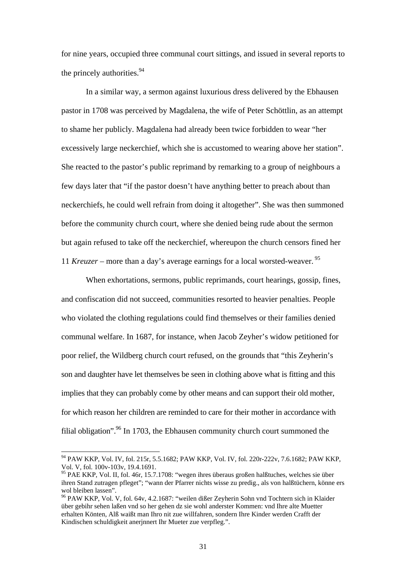for nine years, occupied three communal court sittings, and issued in several reports to the princely authorities.<sup>94</sup>

 In a similar way, a sermon against luxurious dress delivered by the Ebhausen pastor in 1708 was perceived by Magdalena, the wife of Peter Schöttlin, as an attempt to shame her publicly. Magdalena had already been twice forbidden to wear "her excessively large neckerchief, which she is accustomed to wearing above her station". She reacted to the pastor's public reprimand by remarking to a group of neighbours a few days later that "if the pastor doesn't have anything better to preach about than neckerchiefs, he could well refrain from doing it altogether". She was then summoned before the community church court, where she denied being rude about the sermon but again refused to take off the neckerchief, whereupon the church censors fined her 11 *Kreuzer* – more than a day's average earnings for a local worsted-weaver. 95

 When exhortations, sermons, public reprimands, court hearings, gossip, fines, and confiscation did not succeed, communities resorted to heavier penalties. People who violated the clothing regulations could find themselves or their families denied communal welfare. In 1687, for instance, when Jacob Zeyher's widow petitioned for poor relief, the Wildberg church court refused, on the grounds that "this Zeyherin's son and daughter have let themselves be seen in clothing above what is fitting and this implies that they can probably come by other means and can support their old mother, for which reason her children are reminded to care for their mother in accordance with filial obligation". <sup>96</sup> In 1703, the Ebhausen community church court summoned the

 $\ddot{\phantom{a}}$ 

<sup>94</sup> PAW KKP, Vol. IV, fol. 215r, 5.5.1682; PAW KKP, Vol. IV, fol. 220r-222v, 7.6.1682; PAW KKP, Vol. V, fol. 100v-103v, 19.4.1691.

<sup>95</sup> PAE KKP, Vol. II, fol. 46r, 15.7.1708: "wegen ihres überaus großen halßtuches, welches sie über ihren Stand zutragen pfleget"; "wann der Pfarrer nichts wisse zu predig., als von halßtüchern, könne ers wol bleiben lassen".

<sup>96</sup> PAW KKP, Vol. V, fol. 64v, 4.2.1687: "weilen dißer Zeyherin Sohn vnd Tochtern sich in Klaider über gebihr sehen laßen vnd so her gehen dz sie wohl anderster Kommen: vnd Ihre alte Muetter erhalten Könten, Alß waißt man Ihro nit zue willfahren, sondern Ihre Kinder werden Crafft der Kindischen schuldigkeit anerjnnert Ihr Mueter zue verpfleg.".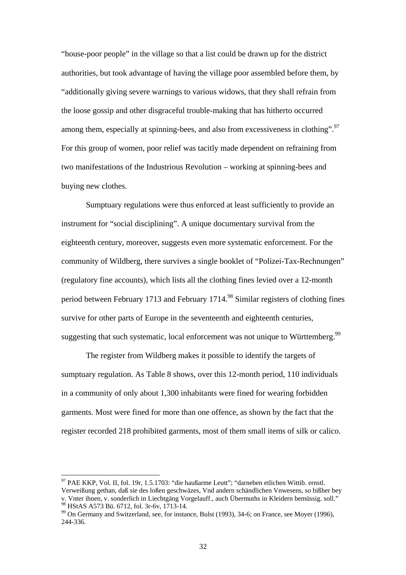"house-poor people" in the village so that a list could be drawn up for the district authorities, but took advantage of having the village poor assembled before them, by "additionally giving severe warnings to various widows, that they shall refrain from the loose gossip and other disgraceful trouble-making that has hitherto occurred among them, especially at spinning-bees, and also from excessiveness in clothing".<sup>97</sup> For this group of women, poor relief was tacitly made dependent on refraining from two manifestations of the Industrious Revolution – working at spinning-bees and buying new clothes.

 Sumptuary regulations were thus enforced at least sufficiently to provide an instrument for "social disciplining". A unique documentary survival from the eighteenth century, moreover, suggests even more systematic enforcement. For the community of Wildberg, there survives a single booklet of "Polizei-Tax-Rechnungen" (regulatory fine accounts), which lists all the clothing fines levied over a 12-month period between February 1713 and February 1714.98 Similar registers of clothing fines survive for other parts of Europe in the seventeenth and eighteenth centuries, suggesting that such systematic, local enforcement was not unique to Württemberg.<sup>99</sup>

 The register from Wildberg makes it possible to identify the targets of sumptuary regulation. As Table 8 shows, over this 12-month period, 110 individuals in a community of only about 1,300 inhabitants were fined for wearing forbidden garments. Most were fined for more than one offence, as shown by the fact that the register recorded 218 prohibited garments, most of them small items of silk or calico.

 $\ddot{\phantom{a}}$ 

<sup>&</sup>lt;sup>97</sup> PAE KKP, Vol. II, fol. 19r, 1.5.1703: "die haußarme Leutt"; "darneben etlichen Wittib. ernstl.

Verweißung gethan, daß sie des loßen geschwäzes, Vnd andern schändlichen Vnwesens, so bißher bey v. Vnter ihnen, v. sonderlich in Liechtgäng Vorgelauff., auch Übermuths in Kleidern bemüssig. soll." <sup>98</sup> HStAS A573 Bü. 6712, fol. 3r-6v, 1713-14.

<sup>99</sup> On Germany and Switzerland, see, for instance, Bulst (1993), 34-6; on France, see Moyer (1996), 244-336.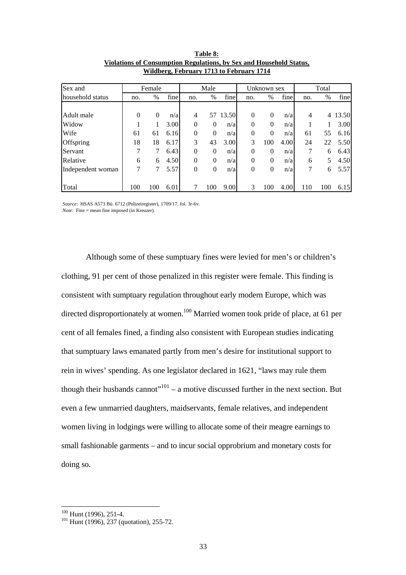| Sex and           |          | Female   |      |                | Male           |       |              | Unknown sex |      | Total |      |       |
|-------------------|----------|----------|------|----------------|----------------|-------|--------------|-------------|------|-------|------|-------|
| household status  | no.      | $\%$     | fine | no.            | $\%$           | fine  | no.          | $\%$        | fine | no.   | $\%$ | fine  |
|                   |          |          |      |                |                |       |              |             |      |       |      |       |
| Adult male        | $\Omega$ | $\Omega$ | n/a  | $\overline{4}$ | 57             | 13.50 | $\Omega$     | $\theta$    | n/a  | 4     | 4    | 13.50 |
| Widow             |          | 1        | 3.00 | $\theta$       | $\Omega$       | n/a   | $\theta$     | $\theta$    | n/a  |       |      | 3.00  |
| Wife              | 61       | 61       | 6.16 | $\theta$       | $\theta$       | n/a   | $\mathbf{0}$ | $\theta$    | n/a  | 61    | 55   | 6.16  |
| Offspring         | 18       | 18       | 6.17 | 3              | 43             | 3.00  | 3            | 100         | 4.00 | 24    | 22   | 5.50  |
| Servant           | 7        | 7        | 6.43 | $\theta$       | 0              | n/a   | $\theta$     | $\theta$    | n/a  | 7     | 6    | 6.43  |
| Relative          | 6        | 6        | 4.50 | $\theta$       | $\Omega$       | n/a   | $\Omega$     | $\theta$    | n/a  | 6     | 5    | 4.50  |
| Independent woman | 7        | 7        | 5.57 | $\theta$       | $\overline{0}$ | n/a   | $\theta$     | $\theta$    | n/a  | 7     | 6    | 5.57  |
|                   |          |          |      |                |                |       |              |             |      |       |      |       |
| Total             | 100      | 100      | 6.01 | 7              | 100            | 9.00  | 3            | 100         | 4.00 | 110   | 100  | 6.15  |

**Table 8: Violations of Consumption Regulations, by Sex and Household Status, Wildberg, February 1713 to February 1714**

*Source:* HSAS A573 Bü. 6712 (Polizeiregister), 1709/17, fol. 3r-6v. *Note:* Fine = mean fine imposed (in Kreuzer).

 Although some of these sumptuary fines were levied for men's or children's clothing, 91 per cent of those penalized in this register were female. This finding is consistent with sumptuary regulation throughout early modern Europe, which was directed disproportionately at women.<sup>100</sup> Married women took pride of place, at 61 per cent of all females fined, a finding also consistent with European studies indicating that sumptuary laws emanated partly from men's desire for institutional support to rein in wives' spending. As one legislator declared in 1621, "laws may rule them though their husbands cannot"<sup>101</sup> – a motive discussed further in the next section. But even a few unmarried daughters, maidservants, female relatives, and independent women living in lodgings were willing to allocate some of their meagre earnings to small fashionable garments – and to incur social opprobrium and monetary costs for doing so.

 $100$  Hunt (1996), 251-4.

 $101$  Hunt (1996), 237 (quotation), 255-72.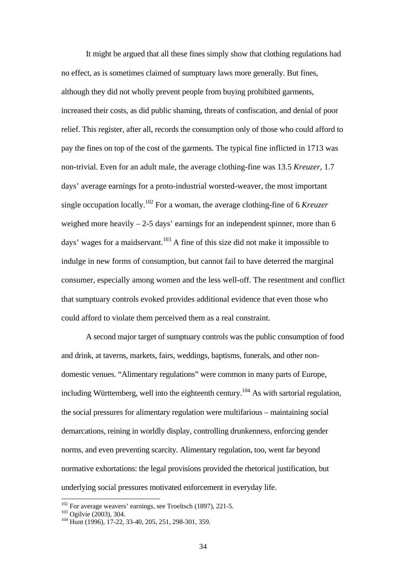It might be argued that all these fines simply show that clothing regulations had no effect, as is sometimes claimed of sumptuary laws more generally. But fines, although they did not wholly prevent people from buying prohibited garments, increased their costs, as did public shaming, threats of confiscation, and denial of poor relief. This register, after all, records the consumption only of those who could afford to pay the fines on top of the cost of the garments. The typical fine inflicted in 1713 was non-trivial. Even for an adult male, the average clothing-fine was 13.5 *Kreuzer,* 1.7 days' average earnings for a proto-industrial worsted-weaver, the most important single occupation locally.102 For a woman, the average clothing-fine of 6 *Kreuzer* weighed more heavily  $-2$ -5 days' earnings for an independent spinner, more than 6 days' wages for a maidservant.<sup>103</sup> A fine of this size did not make it impossible to indulge in new forms of consumption, but cannot fail to have deterred the marginal consumer, especially among women and the less well-off. The resentment and conflict that sumptuary controls evoked provides additional evidence that even those who could afford to violate them perceived them as a real constraint.

 A second major target of sumptuary controls was the public consumption of food and drink, at taverns, markets, fairs, weddings, baptisms, funerals, and other nondomestic venues. "Alimentary regulations" were common in many parts of Europe, including Württemberg, well into the eighteenth century.<sup>104</sup> As with sartorial regulation, the social pressures for alimentary regulation were multifarious – maintaining social demarcations, reining in worldly display, controlling drunkenness, enforcing gender norms, and even preventing scarcity. Alimentary regulation, too, went far beyond normative exhortations: the legal provisions provided the rhetorical justification, but underlying social pressures motivated enforcement in everyday life.

<sup>&</sup>lt;sup>102</sup> For average weavers' earnings, see Troeltsch (1897), 221-5.

 $\frac{103}{104}$  Gratisch (2003), 304. 104 Hunt (1996), 17-22, 33-40, 205, 251, 298-301, 359.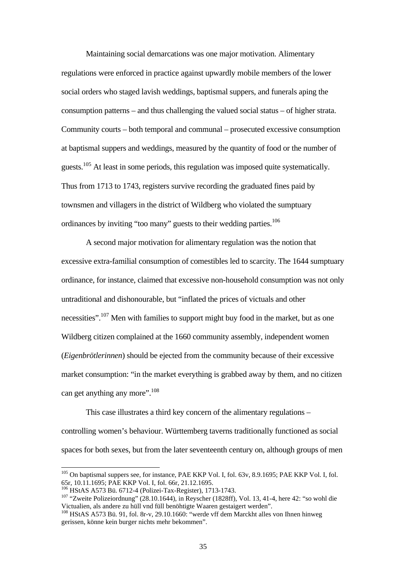Maintaining social demarcations was one major motivation. Alimentary regulations were enforced in practice against upwardly mobile members of the lower social orders who staged lavish weddings, baptismal suppers, and funerals aping the consumption patterns – and thus challenging the valued social status – of higher strata. Community courts – both temporal and communal – prosecuted excessive consumption at baptismal suppers and weddings, measured by the quantity of food or the number of guests.105 At least in some periods, this regulation was imposed quite systematically. Thus from 1713 to 1743, registers survive recording the graduated fines paid by townsmen and villagers in the district of Wildberg who violated the sumptuary ordinances by inviting "too many" guests to their wedding parties.<sup>106</sup>

A second major motivation for alimentary regulation was the notion that excessive extra-familial consumption of comestibles led to scarcity. The 1644 sumptuary ordinance, for instance, claimed that excessive non-household consumption was not only untraditional and dishonourable, but "inflated the prices of victuals and other necessities".<sup>107</sup> Men with families to support might buy food in the market, but as one Wildberg citizen complained at the 1660 community assembly, independent women (*Eigenbrötlerinnen*) should be ejected from the community because of their excessive market consumption: "in the market everything is grabbed away by them, and no citizen can get anything any more". $108$ 

 This case illustrates a third key concern of the alimentary regulations – controlling women's behaviour. Württemberg taverns traditionally functioned as social spaces for both sexes, but from the later seventeenth century on, although groups of men

<sup>&</sup>lt;sup>105</sup> On baptismal suppers see, for instance, PAE KKP Vol. I, fol. 63v, 8.9.1695; PAE KKP Vol. I, fol. 65r, 10.11.1695; PAE KKP Vol. I, fol. 66r, 21.12.1695.<br><sup>106</sup> HStAS A573 Bü. 6712-4 (Polizei-Tax-Register), 1713-1743.

<sup>&</sup>lt;sup>106</sup> HStAS A573 Bü. 6712-4 (Polizei-Tax-Register), 1713-1743.<br><sup>107</sup> "Zweite Polizeiordnung" (28.10.1644), in Reyscher (1828ff), Vol. 13, 41-4, here 42: "so wohl die Victualien, als andere zu hüll vnd füll benöhtigte Waaren gestaigert werden".

<sup>&</sup>lt;sup>108</sup> HStAS A573 Bü. 91, fol. 8r-v, 29.10.1660: "werde vff dem Marckht alles von Ihnen hinweg gerissen, könne kein burger nichts mehr bekommen".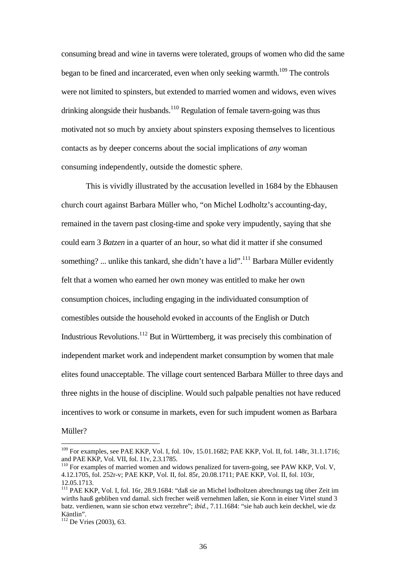consuming bread and wine in taverns were tolerated, groups of women who did the same began to be fined and incarcerated, even when only seeking warmth.<sup>109</sup> The controls were not limited to spinsters, but extended to married women and widows, even wives drinking alongside their husbands.<sup>110</sup> Regulation of female tavern-going was thus motivated not so much by anxiety about spinsters exposing themselves to licentious contacts as by deeper concerns about the social implications of *any* woman consuming independently, outside the domestic sphere.

 This is vividly illustrated by the accusation levelled in 1684 by the Ebhausen church court against Barbara Müller who, "on Michel Lodholtz's accounting-day, remained in the tavern past closing-time and spoke very impudently, saying that she could earn 3 *Batzen* in a quarter of an hour, so what did it matter if she consumed something? ... unlike this tankard, she didn't have a lid".<sup>111</sup> Barbara Müller evidently felt that a women who earned her own money was entitled to make her own consumption choices, including engaging in the individuated consumption of comestibles outside the household evoked in accounts of the English or Dutch Industrious Revolutions.<sup>112</sup> But in Württemberg, it was precisely this combination of independent market work and independent market consumption by women that male elites found unacceptable. The village court sentenced Barbara Müller to three days and three nights in the house of discipline. Would such palpable penalties not have reduced incentives to work or consume in markets, even for such impudent women as Barbara Müller?

 $\overline{a}$ <sup>109</sup> For examples, see PAE KKP, Vol. I, fol. 10v, 15.01.1682; PAE KKP, Vol. II, fol. 148r, 31.1.1716; and PAE KKP, Vol. VII, fol. 11v, 2.3.1785.

 $110$  For examples of married women and widows penalized for tavern-going, see PAW KKP, Vol. V, 4.12.1705, fol. 252r-v; PAE KKP, Vol. II, fol. 85r, 20.08.1711; PAE KKP, Vol. II, fol. 103r, 12.05.1713.

<sup>111</sup> PAE KKP, Vol. I, fol. 16r, 28.9.1684: "daß sie an Michel lodholtzen abrechnungs tag über Zeit im wirths hauß gebliben vnd damal. sich frecher weiß vernehmen laßen, sie Konn in einer Virtel stund 3 batz. verdienen, wann sie schon etwz verzehre"; *ibid.*, 7.11.1684: "sie hab auch kein deckhel, wie dz Käntlin".

 $\frac{112}{112}$  De Vries (2003), 63.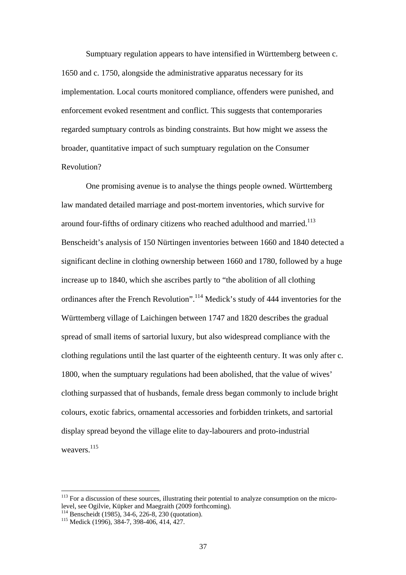Sumptuary regulation appears to have intensified in Württemberg between c. 1650 and c. 1750, alongside the administrative apparatus necessary for its implementation. Local courts monitored compliance, offenders were punished, and enforcement evoked resentment and conflict. This suggests that contemporaries regarded sumptuary controls as binding constraints. But how might we assess the broader, quantitative impact of such sumptuary regulation on the Consumer Revolution?

 One promising avenue is to analyse the things people owned. Württemberg law mandated detailed marriage and post-mortem inventories, which survive for around four-fifths of ordinary citizens who reached adulthood and married.<sup>113</sup> Benscheidt's analysis of 150 Nürtingen inventories between 1660 and 1840 detected a significant decline in clothing ownership between 1660 and 1780, followed by a huge increase up to 1840, which she ascribes partly to "the abolition of all clothing ordinances after the French Revolution".114 Medick's study of 444 inventories for the Württemberg village of Laichingen between 1747 and 1820 describes the gradual spread of small items of sartorial luxury, but also widespread compliance with the clothing regulations until the last quarter of the eighteenth century. It was only after c. 1800, when the sumptuary regulations had been abolished, that the value of wives' clothing surpassed that of husbands, female dress began commonly to include bright colours, exotic fabrics, ornamental accessories and forbidden trinkets, and sartorial display spread beyond the village elite to day-labourers and proto-industrial weavers.<sup>115</sup>

<sup>&</sup>lt;sup>113</sup> For a discussion of these sources, illustrating their potential to analyze consumption on the microlevel, see Ogilvie, Küpker and Maegraith (2009 forthcoming).

<sup>&</sup>lt;sup>114</sup> Benscheidt (1985), 34-6, 226-8, 230 (quotation).<br><sup>115</sup> Medick (1996), 384-7, 398-406, 414, 427.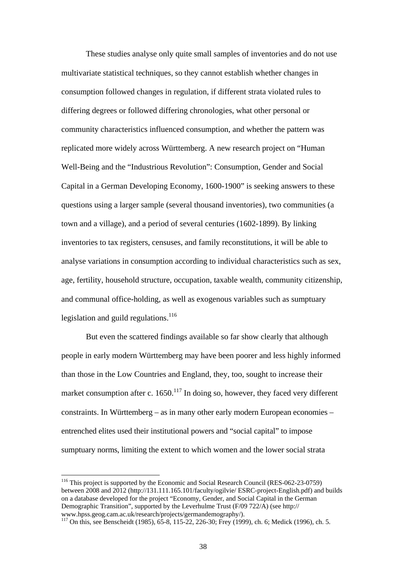These studies analyse only quite small samples of inventories and do not use multivariate statistical techniques, so they cannot establish whether changes in consumption followed changes in regulation, if different strata violated rules to differing degrees or followed differing chronologies, what other personal or community characteristics influenced consumption, and whether the pattern was replicated more widely across Württemberg. A new research project on "Human Well-Being and the "Industrious Revolution": Consumption, Gender and Social Capital in a German Developing Economy, 1600-1900" is seeking answers to these questions using a larger sample (several thousand inventories), two communities (a town and a village), and a period of several centuries (1602-1899). By linking inventories to tax registers, censuses, and family reconstitutions, it will be able to analyse variations in consumption according to individual characteristics such as sex, age, fertility, household structure, occupation, taxable wealth, community citizenship, and communal office-holding, as well as exogenous variables such as sumptuary legislation and guild regulations. $116$ 

 But even the scattered findings available so far show clearly that although people in early modern Württemberg may have been poorer and less highly informed than those in the Low Countries and England, they, too, sought to increase their market consumption after c.  $1650$ .<sup>117</sup> In doing so, however, they faced very different constraints. In Württemberg – as in many other early modern European economies – entrenched elites used their institutional powers and "social capital" to impose sumptuary norms, limiting the extent to which women and the lower social strata

 $\ddot{\phantom{a}}$ 

<sup>&</sup>lt;sup>116</sup> This project is supported by the Economic and Social Research Council (RES-062-23-0759) between 2008 and 2012 (http://131.111.165.101/faculty/ogilvie/ ESRC-project-English.pdf) and builds on a database developed for the project "Economy, Gender, and Social Capital in the German Demographic Transition", supported by the Leverhulme Trust (F/09 722/A) (see http:// www.hpss.geog.cam.ac.uk/research/projects/germandemography/).

<sup>&</sup>lt;sup>117</sup> On this, see Benscheidt (1985), 65-8, 115-22, 226-30; Frey (1999), ch. 6; Medick (1996), ch. 5.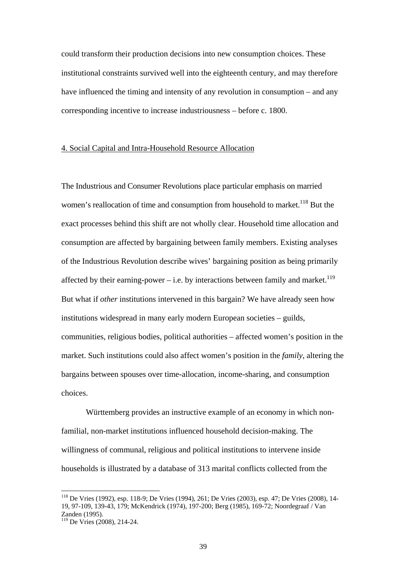could transform their production decisions into new consumption choices. These institutional constraints survived well into the eighteenth century, and may therefore have influenced the timing and intensity of any revolution in consumption – and any corresponding incentive to increase industriousness – before c. 1800.

## 4. Social Capital and Intra-Household Resource Allocation

The Industrious and Consumer Revolutions place particular emphasis on married women's reallocation of time and consumption from household to market.<sup>118</sup> But the exact processes behind this shift are not wholly clear. Household time allocation and consumption are affected by bargaining between family members. Existing analyses of the Industrious Revolution describe wives' bargaining position as being primarily affected by their earning-power – i.e. by interactions between family and market.<sup>119</sup> But what if *other* institutions intervened in this bargain? We have already seen how institutions widespread in many early modern European societies – guilds, communities, religious bodies, political authorities – affected women's position in the market. Such institutions could also affect women's position in the *family*, altering the bargains between spouses over time-allocation, income-sharing, and consumption choices.

 Württemberg provides an instructive example of an economy in which nonfamilial, non-market institutions influenced household decision-making. The willingness of communal, religious and political institutions to intervene inside households is illustrated by a database of 313 marital conflicts collected from the

<sup>118</sup> De Vries (1992), esp. 118-9; De Vries (1994), 261; De Vries (2003), esp. 47; De Vries (2008), 14- 19, 97-109, 139-43, 179; McKendrick (1974), 197-200; Berg (1985), 169-72; Noordegraaf / Van Zanden (1995).

<sup>119</sup> De Vries (2008), 214-24.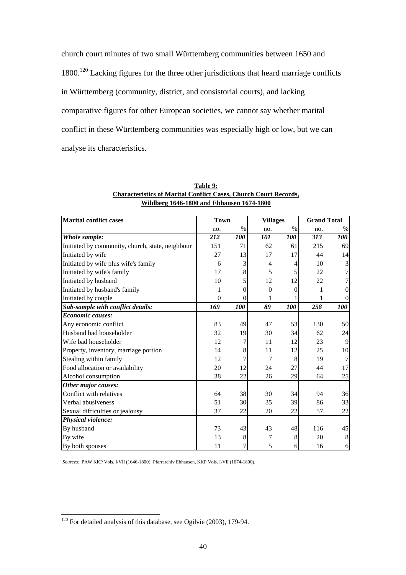church court minutes of two small Württemberg communities between 1650 and 1800.<sup>120</sup> Lacking figures for the three other jurisdictions that heard marriage conflicts in Württemberg (community, district, and consistorial courts), and lacking comparative figures for other European societies, we cannot say whether marital conflict in these Württemberg communities was especially high or low, but we can analyse its characteristics.

| <b>Marital conflict cases</b>                    | <b>Town</b> |                | <b>Villages</b> |            | <b>Grand Total</b> |                 |
|--------------------------------------------------|-------------|----------------|-----------------|------------|--------------------|-----------------|
|                                                  | no.         | $\%$           | no.             | $\%$       | no.                | $\%$            |
| Whole sample:                                    | 212         | <i>100</i>     | 101             | <b>100</b> | 313                | 100             |
| Initiated by community, church, state, neighbour | 151         | 71             | 62              | 61         | 215                | 69              |
| Initiated by wife                                | 27          | 13             | 17              | 17         | 44                 | 14              |
| Initiated by wife plus wife's family             | 6           | 3              | $\overline{4}$  | 4          | 10                 | 3               |
| Initiated by wife's family                       | 17          | 8              | 5               | 5          | 22                 |                 |
| Initiated by husband                             | 10          |                | 12              | 12         | 22                 |                 |
| Initiated by husband's family                    | 1           | 0              | $\overline{0}$  | $\Omega$   | 1                  | 0               |
| Initiated by couple                              | $\theta$    | $\overline{0}$ | 1               |            | 1                  | $\Omega$        |
| Sub-sample with conflict details:                | 169         | 100            | 89              | 100        | 258                | 100             |
| <b>Economic causes:</b>                          |             |                |                 |            |                    |                 |
| Any economic conflict                            | 83          | 49             | 47              | 53         | 130                | 50              |
| Husband bad householder                          | 32          | 19             | 30              | 34         | 62                 | 24              |
| Wife bad householder                             | 12          | 7              | 11              | 12         | 23                 | $\mathbf{Q}$    |
| Property, inventory, marriage portion            | 14          | 8              | 11              | 12         | 25                 | 10 <sup>1</sup> |
| Stealing within family                           | 12          | 7              | 7               | 8          | 19                 |                 |
| Food allocation or availability                  | 20          | 12             | 24              | 27         | 44                 | 17              |
| Alcohol consumption                              | 38          | 22             | 26              | 29         | 64                 | 25              |
| Other major causes:                              |             |                |                 |            |                    |                 |
| Conflict with relatives                          | 64          | 38             | 30              | 34         | 94                 | 36              |
| Verbal abusiveness                               | 51          | 30             | 35              | 39         | 86                 | 33              |
| Sexual difficulties or jealousy                  | 37          | 22             | 20              | 22         | 57                 | 22              |
| <b>Physical violence:</b>                        |             |                |                 |            |                    |                 |
| By husband                                       | 73          | 43             | 43              | 48         | 116                | 45              |
| By wife                                          | 13          | 8              | 7               | 8          | 20                 | 8               |
| By both spouses                                  | 11          | 7              | 5               | 6          | 16                 | 6               |

**Table 9: Characteristics of Marital Conflict Cases, Church Court Records, Wildberg 1646-1800 and Ebhausen 1674-1800**

*Sources:* PAW KKP Vols. I-VII (1646-1800); Pfarrarchiv Ebhausen, KKP Vols. I-VII (1674-1800).

 $\overline{a}$  $120$  For detailed analysis of this database, see Ogilvie (2003), 179-94.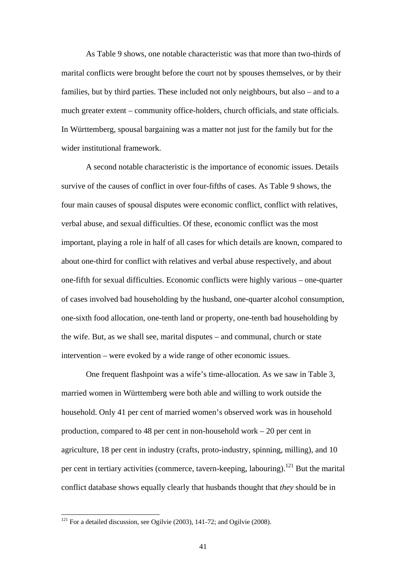As Table 9 shows, one notable characteristic was that more than two-thirds of marital conflicts were brought before the court not by spouses themselves, or by their families, but by third parties. These included not only neighbours, but also – and to a much greater extent – community office-holders, church officials, and state officials. In Württemberg, spousal bargaining was a matter not just for the family but for the wider institutional framework.

 A second notable characteristic is the importance of economic issues. Details survive of the causes of conflict in over four-fifths of cases. As Table 9 shows, the four main causes of spousal disputes were economic conflict, conflict with relatives, verbal abuse, and sexual difficulties. Of these, economic conflict was the most important, playing a role in half of all cases for which details are known, compared to about one-third for conflict with relatives and verbal abuse respectively, and about one-fifth for sexual difficulties. Economic conflicts were highly various – one-quarter of cases involved bad householding by the husband, one-quarter alcohol consumption, one-sixth food allocation, one-tenth land or property, one-tenth bad householding by the wife. But, as we shall see, marital disputes – and communal, church or state intervention – were evoked by a wide range of other economic issues.

 One frequent flashpoint was a wife's time-allocation. As we saw in Table 3, married women in Württemberg were both able and willing to work outside the household. Only 41 per cent of married women's observed work was in household production, compared to 48 per cent in non-household work – 20 per cent in agriculture, 18 per cent in industry (crafts, proto-industry, spinning, milling), and 10 per cent in tertiary activities (commerce, tavern-keeping, labouring).<sup>121</sup> But the marital conflict database shows equally clearly that husbands thought that *they* should be in

 $121$  For a detailed discussion, see Ogilvie (2003), 141-72; and Ogilvie (2008).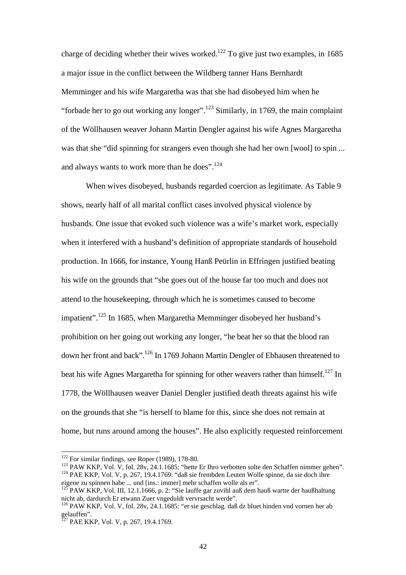charge of deciding whether their wives worked.<sup>122</sup> To give just two examples, in 1685 a major issue in the conflict between the Wildberg tanner Hans Bernhardt Memminger and his wife Margaretha was that she had disobeyed him when he "forbade her to go out working any longer".<sup>123</sup> Similarly, in 1769, the main complaint of the Wöllhausen weaver Johann Martin Dengler against his wife Agnes Margaretha was that she "did spinning for strangers even though she had her own [wool] to spin ... and always wants to work more than he does".<sup>124</sup>

 When wives disobeyed, husbands regarded coercion as legitimate. As Table 9 shows, nearly half of all marital conflict cases involved physical violence by husbands. One issue that evoked such violence was a wife's market work, especially when it interfered with a husband's definition of appropriate standards of household production. In 1666, for instance, Young Hanß Peürlin in Effringen justified beating his wife on the grounds that "she goes out of the house far too much and does not attend to the housekeeping, through which he is sometimes caused to become impatient".<sup>125</sup> In 1685, when Margaretha Memminger disobeyed her husband's prohibition on her going out working any longer, "he beat her so that the blood ran down her front and back".126 In 1769 Johann Martin Dengler of Ebhausen threatened to beat his wife Agnes Margaretha for spinning for other weavers rather than himself.<sup>127</sup> In 1778, the Wöllhausen weaver Daniel Dengler justified death threats against his wife on the grounds that she "is herself to blame for this, since she does not remain at home, but runs around among the houses". He also explicitly requested reinforcement

 $122$  For similar findings, see Roper (1989), 178-80.

<sup>&</sup>lt;sup>123</sup> PAW KKP, Vol. V, fol. 28v, 24.1.1685: "hette Er Ihro verbotten solte den Schaffen nimmer gehen".<br><sup>124</sup> PAE KKP, Vol. V, p. 267, 19.4.1769: "daß sie frembden Leuten Wolle spinne, da sie doch ihre eigene zu spinnen habe ... und [ins.: immer] mehr schaffen wolle als er".

<sup>&</sup>lt;sup>125</sup> PAW KKP, Vol. III, 12.1.1666, p. 2: "Sie lauffe gar zuvihl auß dem hauß wartte der haußhaltung nicht ab, dardurch Er etwann Zuer vngeduldt vervrsacht werde".

<sup>126</sup> PAW KKP, Vol. V, fol. 28v, 24.1.1685: "er sie geschlag. daß dz bluet hinden vnd vornen her ab gelauffen".

<sup>&</sup>lt;sup>127</sup> PAE KKP, Vol. V, p. 267, 19.4.1769.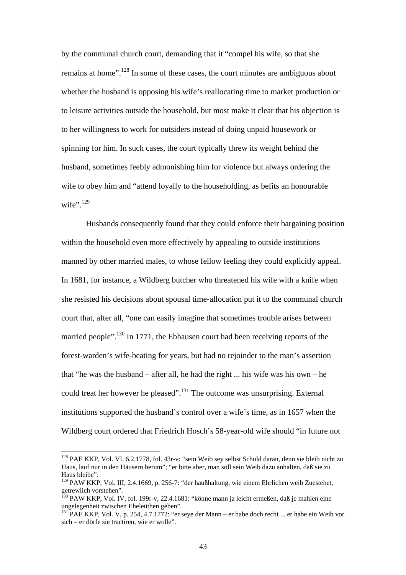by the communal church court, demanding that it "compel his wife, so that she remains at home".<sup>128</sup> In some of these cases, the court minutes are ambiguous about whether the husband is opposing his wife's reallocating time to market production or to leisure activities outside the household, but most make it clear that his objection is to her willingness to work for outsiders instead of doing unpaid housework or spinning for him. In such cases, the court typically threw its weight behind the husband, sometimes feebly admonishing him for violence but always ordering the wife to obey him and "attend loyally to the householding, as befits an honourable wife". $129$ 

 Husbands consequently found that they could enforce their bargaining position within the household even more effectively by appealing to outside institutions manned by other married males, to whose fellow feeling they could explicitly appeal. In 1681, for instance, a Wildberg butcher who threatened his wife with a knife when she resisted his decisions about spousal time-allocation put it to the communal church court that, after all, "one can easily imagine that sometimes trouble arises between married people".<sup>130</sup> In 1771, the Ebhausen court had been receiving reports of the forest-warden's wife-beating for years, but had no rejoinder to the man's assertion that "he was the husband – after all, he had the right ... his wife was his own – he could treat her however he pleased".<sup>131</sup> The outcome was unsurprising. External institutions supported the husband's control over a wife's time, as in 1657 when the Wildberg court ordered that Friedrich Hosch's 58-year-old wife should "in future not

 $\ddot{ }$ 

<sup>&</sup>lt;sup>128</sup> PAE KKP, Vol. VI, 6.2.1778, fol. 43r-v: "sein Weib sey selbst Schuld daran, denn sie bleib nicht zu Haus, lauf nur in den Häusern herum"; "er bitte aber, man soll sein Weib dazu anhalten, daß sie zu Haus bleibe".

<sup>&</sup>lt;sup>129</sup> PAW KKP, Vol. III, 2.4.1669, p. 256-7: "der haußhaltung, wie einem Ehrlichen weib Zuestehet, getrewlich vorstehen".

<sup>&</sup>lt;sup>130</sup> PAW KKP, Vol. IV, fol. 199r-v, 22.4.1681: "könne mann ja leicht ermeßen, daß je mahlen eine ungelegenheit zwischen Eheleüthen geben".

<sup>131</sup> PAE KKP, Vol. V, p. 254, 4.7.1772: "er seye der Mann – er habe doch recht ... er habe ein Weib vor sich – er dörfe sie tractiren, wie er wolle".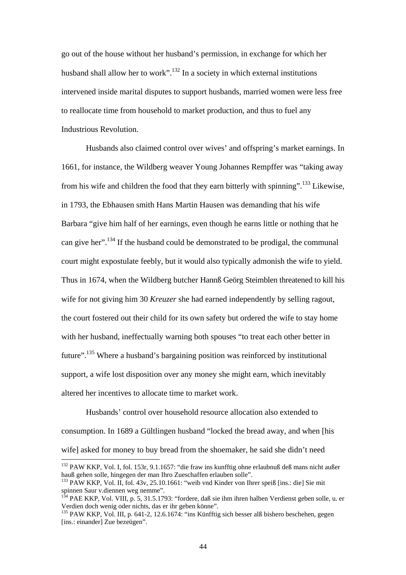go out of the house without her husband's permission, in exchange for which her husband shall allow her to work".<sup>132</sup> In a society in which external institutions intervened inside marital disputes to support husbands, married women were less free to reallocate time from household to market production, and thus to fuel any Industrious Revolution.

 Husbands also claimed control over wives' and offspring's market earnings. In 1661, for instance, the Wildberg weaver Young Johannes Rempffer was "taking away from his wife and children the food that they earn bitterly with spinning".133 Likewise, in 1793, the Ebhausen smith Hans Martin Hausen was demanding that his wife Barbara "give him half of her earnings, even though he earns little or nothing that he can give her".134 If the husband could be demonstrated to be prodigal, the communal court might expostulate feebly, but it would also typically admonish the wife to yield. Thus in 1674, when the Wildberg butcher Hannß Geörg Steimblen threatened to kill his wife for not giving him 30 *Kreuzer* she had earned independently by selling ragout, the court fostered out their child for its own safety but ordered the wife to stay home with her husband, ineffectually warning both spouses "to treat each other better in future".135 Where a husband's bargaining position was reinforced by institutional support, a wife lost disposition over any money she might earn, which inevitably altered her incentives to allocate time to market work.

 Husbands' control over household resource allocation also extended to consumption. In 1689 a Gültlingen husband "locked the bread away, and when [his wife] asked for money to buy bread from the shoemaker, he said she didn't need

<sup>&</sup>lt;sup>132</sup> PAW KKP, Vol. I, fol. 153r, 9.1.1657: "die fraw ins kunfftig ohne erlaubnuß deß mans nicht außer hauß gehen solle, hingegen der man Ihro Zueschaffen erlauben solle".

<sup>&</sup>lt;sup>133</sup> PAW KKP, Vol. II, fol. 43y, 25.10.1661: "weib vnd Kinder von Ihrer speiß [ins.: die] Sie mit spinnen Saur v.diennen weg nemme".

<sup>134</sup> PAE KKP, Vol. VIII, p. 5, 31.5.1793: "fordere, daß sie ihm ihren halben Verdienst geben solle, u. er Verdien doch wenig oder nichts, das er ihr geben könne".

<sup>&</sup>lt;sup>135</sup> PAW KKP, Vol. III, p. 641-2, 12.6.1674: "ins Künfftig sich besser alß bishero beschehen, gegen [ins.: einander] Zue bezeügen".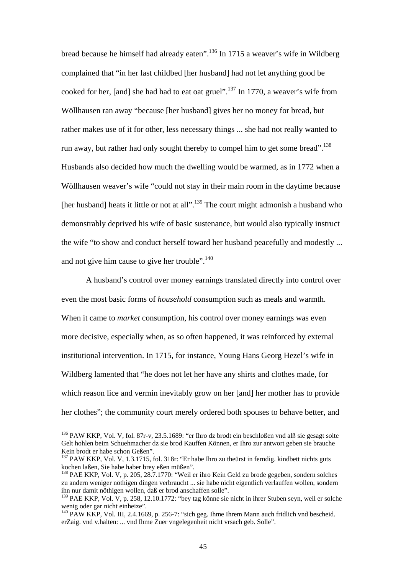bread because he himself had already eaten".136 In 1715 a weaver's wife in Wildberg complained that "in her last childbed [her husband] had not let anything good be cooked for her, [and] she had had to eat oat gruel".<sup>137</sup> In 1770, a weaver's wife from Wöllhausen ran away "because [her husband] gives her no money for bread, but rather makes use of it for other, less necessary things ... she had not really wanted to run away, but rather had only sought thereby to compel him to get some bread".<sup>138</sup> Husbands also decided how much the dwelling would be warmed, as in 1772 when a Wöllhausen weaver's wife "could not stay in their main room in the daytime because [her husband] heats it little or not at all".<sup>139</sup> The court might admonish a husband who demonstrably deprived his wife of basic sustenance, but would also typically instruct the wife "to show and conduct herself toward her husband peacefully and modestly ... and not give him cause to give her trouble".<sup>140</sup>

 A husband's control over money earnings translated directly into control over even the most basic forms of *household* consumption such as meals and warmth. When it came to *market* consumption, his control over money earnings was even more decisive, especially when, as so often happened, it was reinforced by external institutional intervention. In 1715, for instance, Young Hans Georg Hezel's wife in Wildberg lamented that "he does not let her have any shirts and clothes made, for which reason lice and vermin inevitably grow on her [and] her mother has to provide her clothes"; the community court merely ordered both spouses to behave better, and

 $\ddot{ }$ 

<sup>&</sup>lt;sup>136</sup> PAW KKP, Vol. V, fol. 87r-v, 23.5.1689: "er Ihro dz brodt ein beschloßen vnd alß sie gesagt solte Gelt hohlen beim Schuehmacher dz sie brod Kauffen Können, er Ihro zur antwort geben sie brauche Kein brodt er habe schon Geßen".

<sup>&</sup>lt;sup>137</sup> PAW KKP, Vol. V, 1.3.1715, fol. 318r: "Er habe Ihro zu theürst in ferndig. kindbett nichts guts kochen laßen, Sie habe haber brey eßen müßen".

<sup>138</sup> PAE KKP, Vol. V, p. 205, 28.7.1770: "Weil er ihro Kein Geld zu brode gegeben, sondern solches zu andern weniger nöthigen dingen verbraucht ... sie habe nicht eigentlich verlauffen wollen, sondern ihn nur damit nöthigen wollen, daß er brod anschaffen solle".

<sup>&</sup>lt;sup>139</sup> PAE KKP, Vol. V, p. 258, 12.10.1772: "bey tag könne sie nicht in ihrer Stuben seyn, weil er solche wenig oder gar nicht einheize".

<sup>140</sup> PAW KKP, Vol. III, 2.4.1669, p. 256-7: "sich geg. Ihme Ihrem Mann auch fridlich vnd bescheid. erZaig. vnd v.halten: ... vnd Ihme Zuer vngelegenheit nicht vrsach geb. Solle".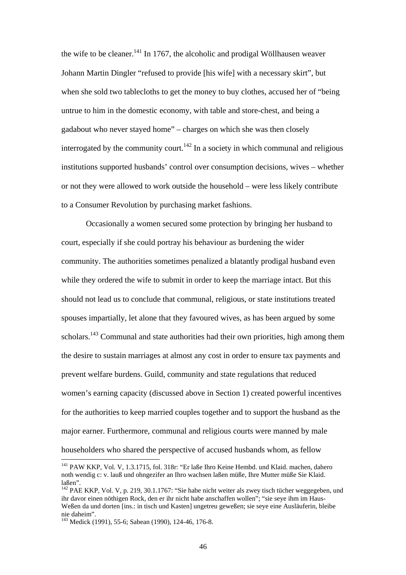the wife to be cleaner.<sup>141</sup> In 1767, the alcoholic and prodigal Wöllhausen weaver Johann Martin Dingler "refused to provide [his wife] with a necessary skirt", but when she sold two tablecloths to get the money to buy clothes, accused her of "being untrue to him in the domestic economy, with table and store-chest, and being a gadabout who never stayed home" – charges on which she was then closely interrogated by the community court.<sup>142</sup> In a society in which communal and religious institutions supported husbands' control over consumption decisions, wives – whether or not they were allowed to work outside the household – were less likely contribute to a Consumer Revolution by purchasing market fashions.

 Occasionally a women secured some protection by bringing her husband to court, especially if she could portray his behaviour as burdening the wider community. The authorities sometimes penalized a blatantly prodigal husband even while they ordered the wife to submit in order to keep the marriage intact. But this should not lead us to conclude that communal, religious, or state institutions treated spouses impartially, let alone that they favoured wives, as has been argued by some scholars.<sup>143</sup> Communal and state authorities had their own priorities, high among them the desire to sustain marriages at almost any cost in order to ensure tax payments and prevent welfare burdens. Guild, community and state regulations that reduced women's earning capacity (discussed above in Section 1) created powerful incentives for the authorities to keep married couples together and to support the husband as the major earner. Furthermore, communal and religious courts were manned by male householders who shared the perspective of accused husbands whom, as fellow

<sup>&</sup>lt;sup>141</sup> PAW KKP, Vol. V, 1.3.1715, fol. 318r: "Er laße Ihro Keine Hembd. und Klaid. machen, dahero noth wendig c: v. lauß und ohngezifer an Ihro wachsen laßen müße, Ihre Mutter müße Sie Klaid. laßen".

<sup>&</sup>lt;sup>142</sup> PAE KKP, Vol. V, p. 219, 30.1.1767: "Sie habe nicht weiter als zwey tisch tücher weggegeben, und ihr davor einen nöthigen Rock, den er ihr nicht habe anschaffen wollen"; "sie seye ihm im Haus-Weßen da und dorten [ins.: in tisch und Kasten] ungetreu geweßen; sie seye eine Ausläuferin, bleibe nie daheim".

<sup>143</sup> Medick (1991), 55-6; Sabean (1990), 124-46, 176-8.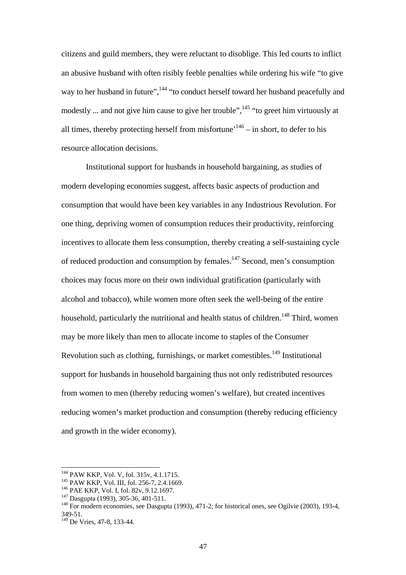citizens and guild members, they were reluctant to disoblige. This led courts to inflict an abusive husband with often risibly feeble penalties while ordering his wife "to give way to her husband in future", <sup>144</sup> "to conduct herself toward her husband peacefully and modestly ... and not give him cause to give her trouble",  $145$  "to greet him virtuously at all times, thereby protecting herself from misfortune<sup> $146$ </sup> – in short, to defer to his resource allocation decisions.

 Institutional support for husbands in household bargaining, as studies of modern developing economies suggest, affects basic aspects of production and consumption that would have been key variables in any Industrious Revolution. For one thing, depriving women of consumption reduces their productivity, reinforcing incentives to allocate them less consumption, thereby creating a self-sustaining cycle of reduced production and consumption by females.147 Second, men's consumption choices may focus more on their own individual gratification (particularly with alcohol and tobacco), while women more often seek the well-being of the entire household, particularly the nutritional and health status of children.<sup>148</sup> Third, women may be more likely than men to allocate income to staples of the Consumer Revolution such as clothing, furnishings, or market comestibles.<sup>149</sup> Institutional support for husbands in household bargaining thus not only redistributed resources from women to men (thereby reducing women's welfare), but created incentives reducing women's market production and consumption (thereby reducing efficiency and growth in the wider economy).

<sup>&</sup>lt;sup>144</sup> PAW KKP, Vol. V, fol. 315v, 4.1.1715.

<sup>&</sup>lt;sup>145</sup> PAW KKP, Vol. III, fol. 256-7, 2.4.1669.<br><sup>146</sup> PAE KKP, Vol. I, fol. 82v, 9.12.1697.<br><sup>147</sup> Dasgupta (1993), 305-36, 401-511.<br><sup>148</sup> For modern economies, see Dasgupta (1993), 471-2; for historical ones, see Ogilvie ( 349-51.

<sup>&</sup>lt;sup>149</sup> De Vries, 47-8, 133-44.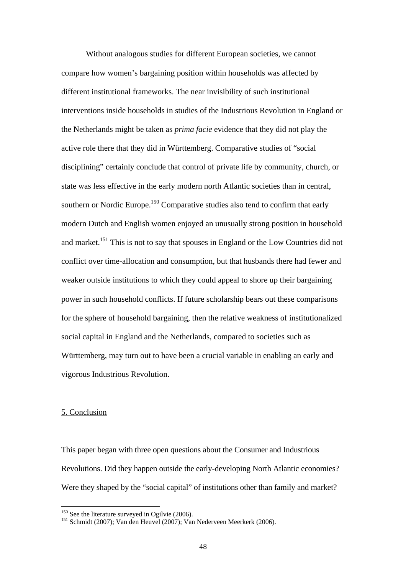Without analogous studies for different European societies, we cannot compare how women's bargaining position within households was affected by different institutional frameworks. The near invisibility of such institutional interventions inside households in studies of the Industrious Revolution in England or the Netherlands might be taken as *prima facie* evidence that they did not play the active role there that they did in Württemberg. Comparative studies of "social disciplining" certainly conclude that control of private life by community, church, or state was less effective in the early modern north Atlantic societies than in central, southern or Nordic Europe.<sup>150</sup> Comparative studies also tend to confirm that early modern Dutch and English women enjoyed an unusually strong position in household and market.<sup>151</sup> This is not to say that spouses in England or the Low Countries did not conflict over time-allocation and consumption, but that husbands there had fewer and weaker outside institutions to which they could appeal to shore up their bargaining power in such household conflicts. If future scholarship bears out these comparisons for the sphere of household bargaining, then the relative weakness of institutionalized social capital in England and the Netherlands, compared to societies such as Württemberg, may turn out to have been a crucial variable in enabling an early and vigorous Industrious Revolution.

#### 5. Conclusion

 $\overline{a}$ 

This paper began with three open questions about the Consumer and Industrious Revolutions. Did they happen outside the early-developing North Atlantic economies? Were they shaped by the "social capital" of institutions other than family and market?

<sup>&</sup>lt;sup>150</sup> See the literature surveyed in Ogilvie (2006).<br><sup>151</sup> Schmidt (2007); Van den Heuvel (2007); Van Nederveen Meerkerk (2006).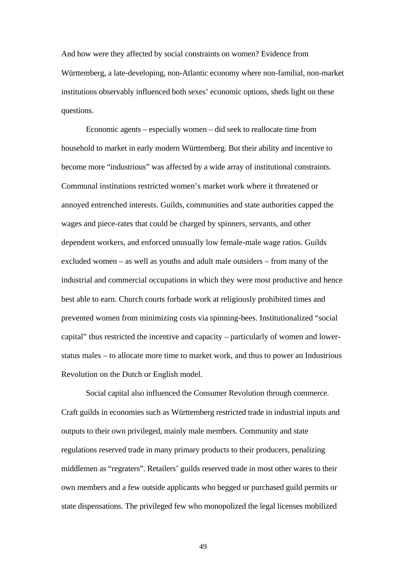And how were they affected by social constraints on women? Evidence from Württemberg, a late-developing, non-Atlantic economy where non-familial, non-market institutions observably influenced both sexes' economic options, sheds light on these questions.

 Economic agents – especially women – did seek to reallocate time from household to market in early modern Württemberg. But their ability and incentive to become more "industrious" was affected by a wide array of institutional constraints. Communal institutions restricted women's market work where it threatened or annoyed entrenched interests. Guilds, communities and state authorities capped the wages and piece-rates that could be charged by spinners, servants, and other dependent workers, and enforced unusually low female-male wage ratios. Guilds excluded women – as well as youths and adult male outsiders – from many of the industrial and commercial occupations in which they were most productive and hence best able to earn. Church courts forbade work at religiously prohibited times and prevented women from minimizing costs via spinning-bees. Institutionalized "social capital" thus restricted the incentive and capacity – particularly of women and lowerstatus males – to allocate more time to market work, and thus to power an Industrious Revolution on the Dutch or English model.

 Social capital also influenced the Consumer Revolution through commerce. Craft guilds in economies such as Württemberg restricted trade in industrial inputs and outputs to their own privileged, mainly male members. Community and state regulations reserved trade in many primary products to their producers, penalizing middlemen as "regraters". Retailers' guilds reserved trade in most other wares to their own members and a few outside applicants who begged or purchased guild permits or state dispensations. The privileged few who monopolized the legal licenses mobilized

49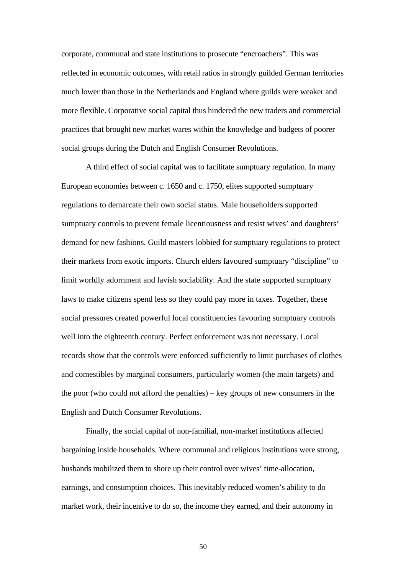corporate, communal and state institutions to prosecute "encroachers". This was reflected in economic outcomes, with retail ratios in strongly guilded German territories much lower than those in the Netherlands and England where guilds were weaker and more flexible. Corporative social capital thus hindered the new traders and commercial practices that brought new market wares within the knowledge and budgets of poorer social groups during the Dutch and English Consumer Revolutions.

 A third effect of social capital was to facilitate sumptuary regulation. In many European economies between c. 1650 and c. 1750, elites supported sumptuary regulations to demarcate their own social status. Male householders supported sumptuary controls to prevent female licentiousness and resist wives' and daughters' demand for new fashions. Guild masters lobbied for sumptuary regulations to protect their markets from exotic imports. Church elders favoured sumptuary "discipline" to limit worldly adornment and lavish sociability. And the state supported sumptuary laws to make citizens spend less so they could pay more in taxes. Together, these social pressures created powerful local constituencies favouring sumptuary controls well into the eighteenth century. Perfect enforcement was not necessary. Local records show that the controls were enforced sufficiently to limit purchases of clothes and comestibles by marginal consumers, particularly women (the main targets) and the poor (who could not afford the penalties) – key groups of new consumers in the English and Dutch Consumer Revolutions.

 Finally, the social capital of non-familial, non-market institutions affected bargaining inside households. Where communal and religious institutions were strong, husbands mobilized them to shore up their control over wives' time-allocation, earnings, and consumption choices. This inevitably reduced women's ability to do market work, their incentive to do so, the income they earned, and their autonomy in

50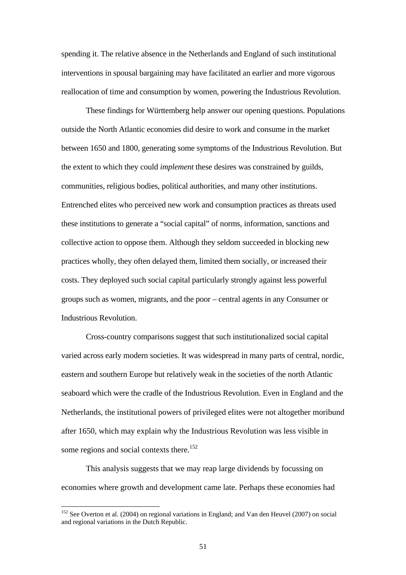spending it. The relative absence in the Netherlands and England of such institutional interventions in spousal bargaining may have facilitated an earlier and more vigorous reallocation of time and consumption by women, powering the Industrious Revolution.

 These findings for Württemberg help answer our opening questions. Populations outside the North Atlantic economies did desire to work and consume in the market between 1650 and 1800, generating some symptoms of the Industrious Revolution. But the extent to which they could *implement* these desires was constrained by guilds, communities, religious bodies, political authorities, and many other institutions. Entrenched elites who perceived new work and consumption practices as threats used these institutions to generate a "social capital" of norms, information, sanctions and collective action to oppose them. Although they seldom succeeded in blocking new practices wholly, they often delayed them, limited them socially, or increased their costs. They deployed such social capital particularly strongly against less powerful groups such as women, migrants, and the poor – central agents in any Consumer or Industrious Revolution.

 Cross-country comparisons suggest that such institutionalized social capital varied across early modern societies. It was widespread in many parts of central, nordic, eastern and southern Europe but relatively weak in the societies of the north Atlantic seaboard which were the cradle of the Industrious Revolution. Even in England and the Netherlands, the institutional powers of privileged elites were not altogether moribund after 1650, which may explain why the Industrious Revolution was less visible in some regions and social contexts there.<sup>152</sup>

 This analysis suggests that we may reap large dividends by focussing on economies where growth and development came late. Perhaps these economies had

<sup>&</sup>lt;sup>152</sup> See Overton et al. (2004) on regional variations in England; and Van den Heuvel (2007) on social and regional variations in the Dutch Republic.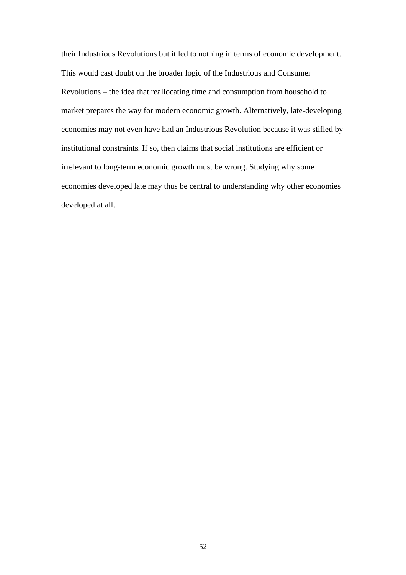their Industrious Revolutions but it led to nothing in terms of economic development. This would cast doubt on the broader logic of the Industrious and Consumer Revolutions – the idea that reallocating time and consumption from household to market prepares the way for modern economic growth. Alternatively, late-developing economies may not even have had an Industrious Revolution because it was stifled by institutional constraints. If so, then claims that social institutions are efficient or irrelevant to long-term economic growth must be wrong. Studying why some economies developed late may thus be central to understanding why other economies developed at all.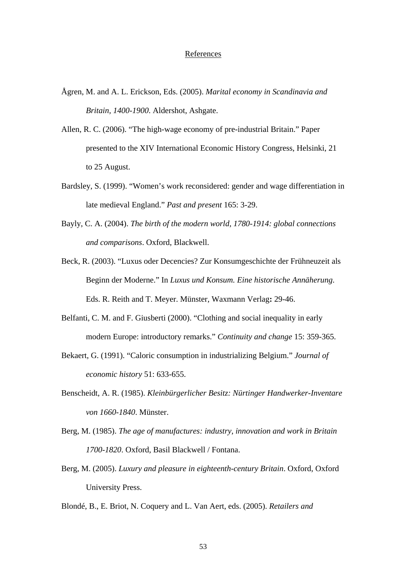#### References

- Ågren, M. and A. L. Erickson, Eds. (2005). *Marital economy in Scandinavia and Britain, 1400-1900*. Aldershot, Ashgate.
- Allen, R. C. (2006). "The high-wage economy of pre-industrial Britain." Paper presented to the XIV International Economic History Congress, Helsinki, 21 to 25 August.
- Bardsley, S. (1999). "Women's work reconsidered: gender and wage differentiation in late medieval England." *Past and present* 165: 3-29.
- Bayly, C. A. (2004). *The birth of the modern world, 1780-1914: global connections and comparisons*. Oxford, Blackwell.
- Beck, R. (2003). "Luxus oder Decencies? Zur Konsumgeschichte der Frühneuzeit als Beginn der Moderne." In *Luxus und Konsum. Eine historische Annäherung*. Eds. R. Reith and T. Meyer. Münster, Waxmann Verlag**:** 29-46.
- Belfanti, C. M. and F. Giusberti (2000). "Clothing and social inequality in early modern Europe: introductory remarks." *Continuity and change* 15: 359-365.
- Bekaert, G. (1991). "Caloric consumption in industrializing Belgium." *Journal of economic history* 51: 633-655.
- Benscheidt, A. R. (1985). *Kleinbürgerlicher Besitz: Nürtinger Handwerker-Inventare von 1660-1840*. Münster.
- Berg, M. (1985). *The age of manufactures: industry, innovation and work in Britain 1700-1820*. Oxford, Basil Blackwell / Fontana.
- Berg, M. (2005). *Luxury and pleasure in eighteenth-century Britain*. Oxford, Oxford University Press.
- Blondé, B., E. Briot, N. Coquery and L. Van Aert, eds. (2005). *Retailers and*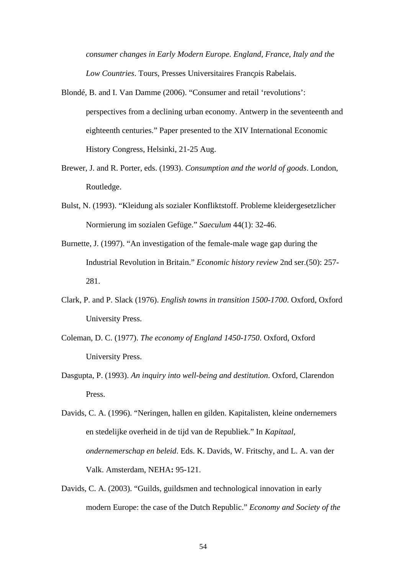*consumer changes in Early Modern Europe. England, France, Italy and the*  **Low Countries. Tours, Presses Universitaires Francois Rabelais.** 

- Blondé, B. and I. Van Damme (2006). "Consumer and retail 'revolutions': perspectives from a declining urban economy. Antwerp in the seventeenth and eighteenth centuries." Paper presented to the XIV International Economic History Congress, Helsinki, 21-25 Aug.
- Brewer, J. and R. Porter, eds. (1993). *Consumption and the world of goods*. London, Routledge.
- Bulst, N. (1993). "Kleidung als sozialer Konfliktstoff. Probleme kleidergesetzlicher Normierung im sozialen Gefüge." *Saeculum* 44(1): 32-46.
- Burnette, J. (1997). "An investigation of the female-male wage gap during the Industrial Revolution in Britain." *Economic history review* 2nd ser.(50): 257- 281.
- Clark, P. and P. Slack (1976). *English towns in transition 1500-1700*. Oxford, Oxford University Press.
- Coleman, D. C. (1977). *The economy of England 1450-1750*. Oxford, Oxford University Press.
- Dasgupta, P. (1993). *An inquiry into well-being and destitution*. Oxford, Clarendon Press.

Davids, C. A. (2003). "Guilds, guildsmen and technological innovation in early modern Europe: the case of the Dutch Republic." *Economy and Society of the* 

Davids, C. A. (1996). "Neringen, hallen en gilden. Kapitalisten, kleine ondernemers en stedelijke overheid in de tijd van de Republiek." In *Kapitaal, ondernemerschap en beleid*. Eds. K. Davids, W. Fritschy, and L. A. van der Valk. Amsterdam, NEHA**:** 95-121.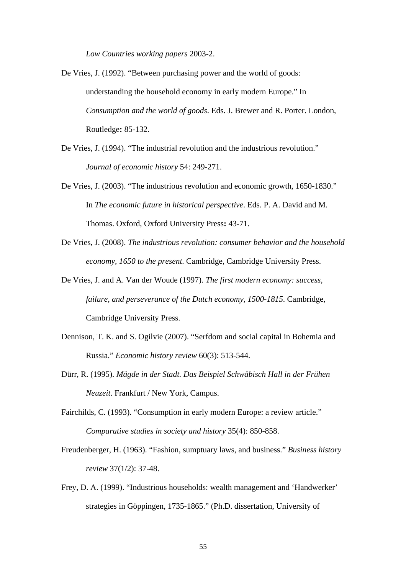*Low Countries working papers* 2003-2.

- De Vries, J. (1992). "Between purchasing power and the world of goods: understanding the household economy in early modern Europe." In *Consumption and the world of goods*. Eds. J. Brewer and R. Porter. London, Routledge**:** 85-132.
- De Vries, J. (1994). "The industrial revolution and the industrious revolution." *Journal of economic history* 54: 249-271.
- De Vries, J. (2003). "The industrious revolution and economic growth, 1650-1830." In *The economic future in historical perspective*. Eds. P. A. David and M. Thomas. Oxford, Oxford University Press**:** 43-71.
- De Vries, J. (2008). *The industrious revolution: consumer behavior and the household economy, 1650 to the present*. Cambridge, Cambridge University Press.
- De Vries, J. and A. Van der Woude (1997). *The first modern economy: success, failure, and perseverance of the Dutch economy, 1500-1815*. Cambridge, Cambridge University Press.
- Dennison, T. K. and S. Ogilvie (2007). "Serfdom and social capital in Bohemia and Russia." *Economic history review* 60(3): 513-544.
- Dürr, R. (1995). *Mägde in der Stadt. Das Beispiel Schwäbisch Hall in der Frühen Neuzeit*. Frankfurt / New York, Campus.
- Fairchilds, C. (1993). "Consumption in early modern Europe: a review article." *Comparative studies in society and history* 35(4): 850-858.
- Freudenberger, H. (1963). "Fashion, sumptuary laws, and business." *Business history review* 37(1/2): 37-48.
- Frey, D. A. (1999). "Industrious households: wealth management and 'Handwerker' strategies in Göppingen, 1735-1865." (Ph.D. dissertation, University of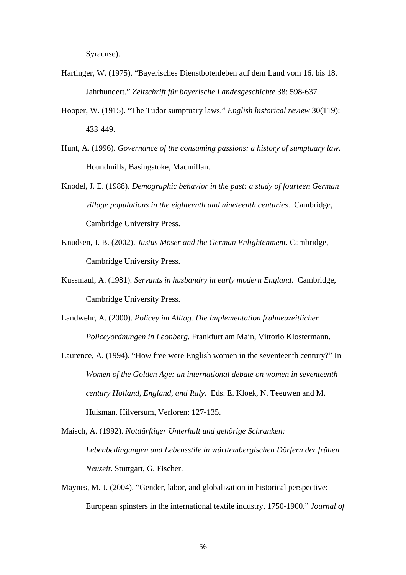Syracuse).

- Hartinger, W. (1975). "Bayerisches Dienstbotenleben auf dem Land vom 16. bis 18. Jahrhundert." *Zeitschrift für bayerische Landesgeschichte* 38: 598-637.
- Hooper, W. (1915). "The Tudor sumptuary laws." *English historical review* 30(119): 433-449.
- Hunt, A. (1996). *Governance of the consuming passions: a history of sumptuary law*. Houndmills, Basingstoke, Macmillan.
- Knodel, J. E. (1988). *Demographic behavior in the past: a study of fourteen German village populations in the eighteenth and nineteenth centuries*. Cambridge, Cambridge University Press.
- Knudsen, J. B. (2002). *Justus Möser and the German Enlightenment*. Cambridge, Cambridge University Press.
- Kussmaul, A. (1981). *Servants in husbandry in early modern England*. Cambridge, Cambridge University Press.
- Landwehr, A. (2000). *Policey im Alltag. Die Implementation fruhneuzeitlicher Policeyordnungen in Leonberg*. Frankfurt am Main, Vittorio Klostermann.
- Laurence, A. (1994). "How free were English women in the seventeenth century?" In *Women of the Golden Age: an international debate on women in seventeenthcentury Holland, England, and Italy*. Eds. E. Kloek, N. Teeuwen and M. Huisman. Hilversum, Verloren: 127-135.
- Maisch, A. (1992). *Notdürftiger Unterhalt und gehörige Schranken: Lebenbedingungen und Lebensstile in württembergischen Dörfern der frühen Neuzeit*. Stuttgart, G. Fischer.
- Maynes, M. J. (2004). "Gender, labor, and globalization in historical perspective: European spinsters in the international textile industry, 1750-1900." *Journal of*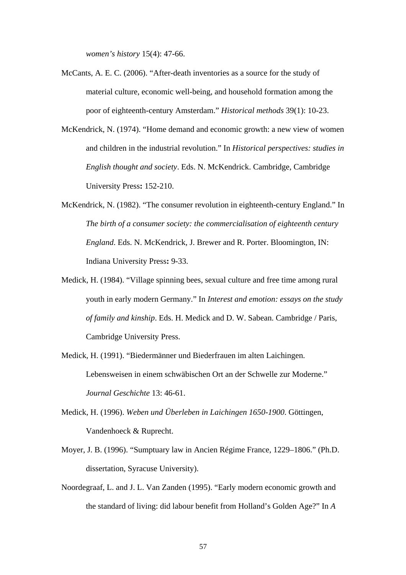*women's history* 15(4): 47-66.

- McCants, A. E. C. (2006). "After-death inventories as a source for the study of material culture, economic well-being, and household formation among the poor of eighteenth-century Amsterdam." *Historical methods* 39(1): 10-23.
- McKendrick, N. (1974). "Home demand and economic growth: a new view of women and children in the industrial revolution." In *Historical perspectives: studies in English thought and society*. Eds. N. McKendrick. Cambridge, Cambridge University Press**:** 152-210.
- McKendrick, N. (1982). "The consumer revolution in eighteenth-century England." In *The birth of a consumer society: the commercialisation of eighteenth century England*. Eds. N. McKendrick, J. Brewer and R. Porter. Bloomington, IN: Indiana University Press**:** 9-33.
- Medick, H. (1984). "Village spinning bees, sexual culture and free time among rural youth in early modern Germany." In *Interest and emotion: essays on the study of family and kinship*. Eds. H. Medick and D. W. Sabean. Cambridge / Paris, Cambridge University Press.
- Medick, H. (1991). "Biedermänner und Biederfrauen im alten Laichingen. Lebensweisen in einem schwäbischen Ort an der Schwelle zur Moderne." *Journal Geschichte* 13: 46-61.
- Medick, H. (1996). *Weben und Überleben in Laichingen 1650-1900*. Göttingen, Vandenhoeck & Ruprecht.
- Moyer, J. B. (1996). "Sumptuary law in Ancien Régime France, 1229–1806." (Ph.D. dissertation, Syracuse University).
- Noordegraaf, L. and J. L. Van Zanden (1995). "Early modern economic growth and the standard of living: did labour benefit from Holland's Golden Age?" In *A*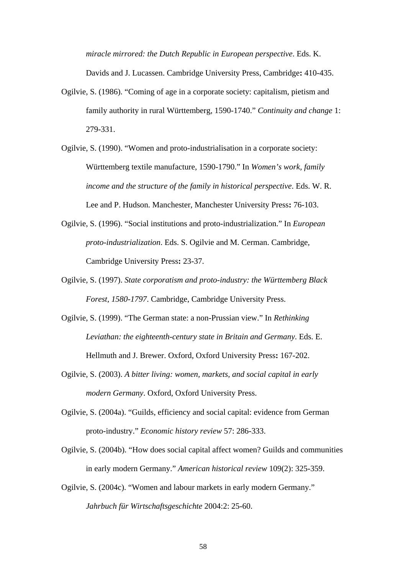*miracle mirrored: the Dutch Republic in European perspective*. Eds. K. Davids and J. Lucassen. Cambridge University Press, Cambridge**:** 410-435.

- Ogilvie, S. (1986). "Coming of age in a corporate society: capitalism, pietism and family authority in rural Württemberg, 1590-1740." *Continuity and change* 1: 279-331.
- Ogilvie, S. (1990). "Women and proto-industrialisation in a corporate society: Württemberg textile manufacture, 1590-1790." In *Women's work, family income and the structure of the family in historical perspective*. Eds. W. R. Lee and P. Hudson. Manchester, Manchester University Press**:** 76-103.
- Ogilvie, S. (1996). "Social institutions and proto-industrialization." In *European proto-industrialization*. Eds. S. Ogilvie and M. Cerman. Cambridge, Cambridge University Press**:** 23-37.
- Ogilvie, S. (1997). *State corporatism and proto-industry: the Württemberg Black Forest, 1580-1797*. Cambridge, Cambridge University Press.
- Ogilvie, S. (1999). "The German state: a non-Prussian view." In *Rethinking Leviathan: the eighteenth-century state in Britain and Germany*. Eds. E. Hellmuth and J. Brewer. Oxford, Oxford University Press**:** 167-202.
- Ogilvie, S. (2003). *A bitter living: women, markets, and social capital in early modern Germany*. Oxford, Oxford University Press.
- Ogilvie, S. (2004a). "Guilds, efficiency and social capital: evidence from German proto-industry." *Economic history review* 57: 286-333.
- Ogilvie, S. (2004b). "How does social capital affect women? Guilds and communities in early modern Germany." *American historical review* 109(2): 325-359.
- Ogilvie, S. (2004c). "Women and labour markets in early modern Germany." *Jahrbuch für Wirtschaftsgeschichte* 2004:2: 25-60.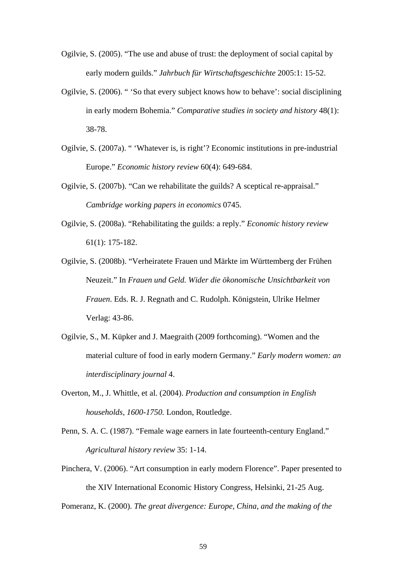- Ogilvie, S. (2005). "The use and abuse of trust: the deployment of social capital by early modern guilds." *Jahrbuch für Wirtschaftsgeschichte* 2005:1: 15-52.
- Ogilvie, S. (2006). " 'So that every subject knows how to behave': social disciplining in early modern Bohemia." *Comparative studies in society and history* 48(1): 38-78.
- Ogilvie, S. (2007a). " 'Whatever is, is right'? Economic institutions in pre-industrial Europe." *Economic history review* 60(4): 649-684.
- Ogilvie, S. (2007b). "Can we rehabilitate the guilds? A sceptical re-appraisal." *Cambridge working papers in economics* 0745.
- Ogilvie, S. (2008a). "Rehabilitating the guilds: a reply." *Economic history review* 61(1): 175-182.
- Ogilvie, S. (2008b). "Verheiratete Frauen und Märkte im Württemberg der Frühen Neuzeit." In *Frauen und Geld. Wider die ökonomische Unsichtbarkeit von Frauen*. Eds. R. J. Regnath and C. Rudolph. Königstein, Ulrike Helmer Verlag: 43-86.
- Ogilvie, S., M. Küpker and J. Maegraith (2009 forthcoming). "Women and the material culture of food in early modern Germany." *Early modern women: an interdisciplinary journal* 4.
- Overton, M., J. Whittle, et al. (2004). *Production and consumption in English households, 1600-1750.* London, Routledge.
- Penn, S. A. C. (1987). "Female wage earners in late fourteenth-century England." *Agricultural history review* 35: 1-14.
- Pinchera, V. (2006). "Art consumption in early modern Florence". Paper presented to the XIV International Economic History Congress, Helsinki, 21-25 Aug.

Pomeranz, K. (2000). *The great divergence: Europe, China, and the making of the*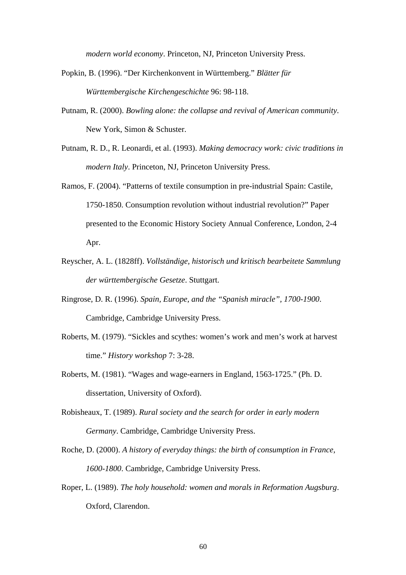*modern world economy*. Princeton, NJ, Princeton University Press.

- Popkin, B. (1996). "Der Kirchenkonvent in Württemberg." *Blätter für Württembergische Kirchengeschichte* 96: 98-118.
- Putnam, R. (2000). *Bowling alone: the collapse and revival of American community*. New York, Simon & Schuster.
- Putnam, R. D., R. Leonardi, et al. (1993). *Making democracy work: civic traditions in modern Italy*. Princeton, NJ, Princeton University Press.
- Ramos, F. (2004). "Patterns of textile consumption in pre-industrial Spain: Castile, 1750-1850. Consumption revolution without industrial revolution?" Paper presented to the Economic History Society Annual Conference, London, 2-4 Apr.
- Reyscher, A. L. (1828ff). *Vollständige, historisch und kritisch bearbeitete Sammlung der württembergische Gesetze*. Stuttgart.
- Ringrose, D. R. (1996). *Spain, Europe, and the "Spanish miracle", 1700-1900*. Cambridge, Cambridge University Press.
- Roberts, M. (1979). "Sickles and scythes: women's work and men's work at harvest time." *History workshop* 7: 3-28.
- Roberts, M. (1981). "Wages and wage-earners in England, 1563-1725." (Ph. D. dissertation, University of Oxford).
- Robisheaux, T. (1989). *Rural society and the search for order in early modern Germany*. Cambridge, Cambridge University Press.
- Roche, D. (2000). *A history of everyday things: the birth of consumption in France, 1600-1800*. Cambridge, Cambridge University Press.
- Roper, L. (1989). *The holy household: women and morals in Reformation Augsburg*. Oxford, Clarendon.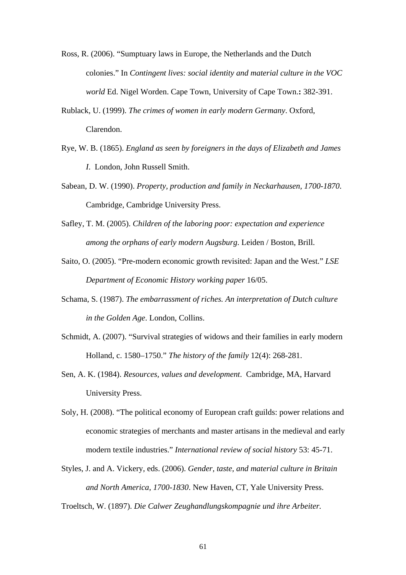- Ross, R. (2006). "Sumptuary laws in Europe, the Netherlands and the Dutch colonies." In *Contingent lives: social identity and material culture in the VOC world* Ed. Nigel Worden. Cape Town, University of Cape Town.**:** 382-391.
- Rublack, U. (1999). *The crimes of women in early modern Germany*. Oxford, Clarendon.
- Rye, W. B. (1865). *England as seen by foreigners in the days of Elizabeth and James I*. London, John Russell Smith.
- Sabean, D. W. (1990). *Property, production and family in Neckarhausen, 1700-1870*. Cambridge, Cambridge University Press.
- Safley, T. M. (2005). *Children of the laboring poor: expectation and experience among the orphans of early modern Augsburg*. Leiden / Boston, Brill.
- Saito, O. (2005). "Pre-modern economic growth revisited: Japan and the West." *LSE Department of Economic History working paper* 16/05.
- Schama, S. (1987). *The embarrassment of riches. An interpretation of Dutch culture in the Golden Age*. London, Collins.
- Schmidt, A. (2007). "Survival strategies of widows and their families in early modern Holland, c. 1580–1750." *The history of the family* 12(4): 268-281.
- Sen, A. K. (1984). *Resources, values and development*. Cambridge, MA, Harvard University Press.
- Soly, H. (2008). "The political economy of European craft guilds: power relations and economic strategies of merchants and master artisans in the medieval and early modern textile industries." *International review of social history* 53: 45-71.
- Styles, J. and A. Vickery, eds. (2006). *Gender, taste, and material culture in Britain and North America, 1700-1830*. New Haven, CT, Yale University Press.

Troeltsch, W. (1897). *Die Calwer Zeughandlungskompagnie und ihre Arbeiter.*